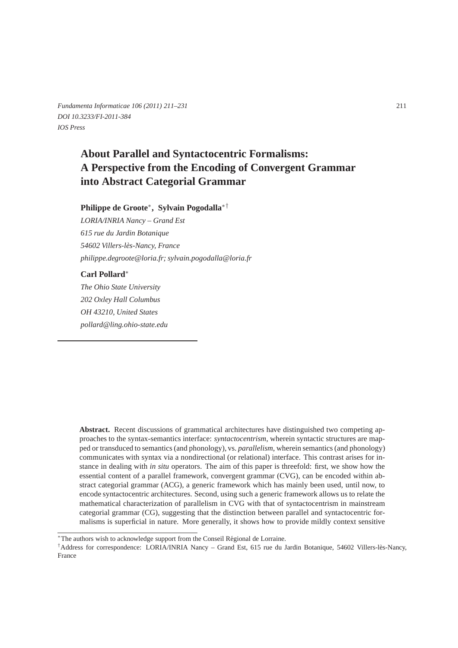*Fundamenta Informaticae 106 (2011) 211–231* 211 *DOI 10.3233/FI-2011-384 IOS Press*

# **About Parallel and Syntactocentric Formalisms: A Perspective from the Encoding of Convergent Grammar into Abstract Categorial Grammar**

### **Philippe de Groote**<sup>∗</sup> **, Sylvain Pogodalla**∗†

*LORIA/INRIA Nancy – Grand Est 615 rue du Jardin Botanique 54602 Villers-les-Nancy, France ` philippe.degroote@loria.fr; sylvain.pogodalla@loria.fr*

#### **Carl Pollard**<sup>∗</sup>

*The Ohio State University 202 Oxley Hall Columbus OH 43210, United States pollard@ling.ohio-state.edu*

**Abstract.** Recent discussions of grammatical architectures have distinguished two competing approaches to the syntax-semantics interface: *syntactocentrism*, wherein syntactic structures are mapped or transduced to semantics (and phonology), vs. *parallelism*, wherein semantics (and phonology) communicates with syntax via a nondirectional (or relational) interface. This contrast arises for instance in dealing with *in situ* operators. The aim of this paper is threefold: first, we show how the essential content of a parallel framework, convergent grammar (CVG), can be encoded within abstract categorial grammar (ACG), a generic framework which has mainly been used, until now, to encode syntactocentric architectures. Second, using such a generic framework allows us to relate the mathematical characterization of parallelism in CVG with that of syntactocentrism in mainstream categorial grammar (CG), suggesting that the distinction between parallel and syntactocentric formalisms is superficial in nature. More generally, it shows how to provide mildly context sensitive

<sup>∗</sup>The authors wish to acknowledge support from the Conseil R´egional de Lorraine.

<sup>†</sup>Address for correspondence: LORIA/INRIA Nancy – Grand Est, 615 rue du Jardin Botanique, 54602 Villers-l`es-Nancy, France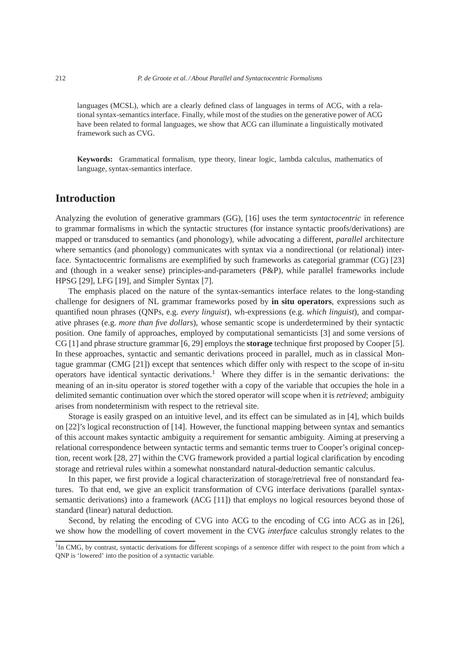languages (MCSL), which are a clearly defined class of languages in terms of ACG, with a relational syntax-semantics interface. Finally, while most of the studies on the generative power of ACG have been related to formal languages, we show that ACG can illuminate a linguistically motivated framework such as CVG.

**Keywords:** Grammatical formalism, type theory, linear logic, lambda calculus, mathematics of language, syntax-semantics interface.

# **Introduction**

Analyzing the evolution of generative grammars (GG), [16] uses the term *syntactocentric* in reference to grammar formalisms in which the syntactic structures (for instance syntactic proofs/derivations) are mapped or transduced to semantics (and phonology), while advocating a different, *parallel* architecture where semantics (and phonology) communicates with syntax via a nondirectional (or relational) interface. Syntactocentric formalisms are exemplified by such frameworks as categorial grammar (CG) [23] and (though in a weaker sense) principles-and-parameters (P&P), while parallel frameworks include HPSG [29], LFG [19], and Simpler Syntax [7].

The emphasis placed on the nature of the syntax-semantics interface relates to the long-standing challenge for designers of NL grammar frameworks posed by **in situ operators**, expressions such as quantified noun phrases (QNPs, e.g. *every linguist*), wh-expressions (e.g. *which linguist*), and comparative phrases (e.g. *more than five dollars*), whose semantic scope is underdetermined by their syntactic position. One family of approaches, employed by computational semanticists [3] and some versions of CG [1] and phrase structure grammar [6, 29] employs the **storage** technique first proposed by Cooper [5]. In these approaches, syntactic and semantic derivations proceed in parallel, much as in classical Montague grammar (CMG [21]) except that sentences which differ only with respect to the scope of in-situ operators have identical syntactic derivations.<sup>1</sup> Where they differ is in the semantic derivations: the meaning of an in-situ operator is *stored* together with a copy of the variable that occupies the hole in a delimited semantic continuation over which the stored operator will scope when it is *retrieved*; ambiguity arises from nondeterminism with respect to the retrieval site.

Storage is easily grasped on an intuitive level, and its effect can be simulated as in [4], which builds on [22]'s logical reconstruction of [14]. However, the functional mapping between syntax and semantics of this account makes syntactic ambiguity a requirement for semantic ambiguity. Aiming at preserving a relational correspondence between syntactic terms and semantic terms truer to Cooper's original conception, recent work [28, 27] within the CVG framework provided a partial logical clarification by encoding storage and retrieval rules within a somewhat nonstandard natural-deduction semantic calculus.

In this paper, we first provide a logical characterization of storage/retrieval free of nonstandard features. To that end, we give an explicit transformation of CVG interface derivations (parallel syntaxsemantic derivations) into a framework (ACG [11]) that employs no logical resources beyond those of standard (linear) natural deduction.

Second, by relating the encoding of CVG into ACG to the encoding of CG into ACG as in [26], we show how the modelling of covert movement in the CVG *interface* calculus strongly relates to the

<sup>&</sup>lt;sup>1</sup>In CMG, by contrast, syntactic derivations for different scopings of a sentence differ with respect to the point from which a QNP is 'lowered' into the position of a syntactic variable.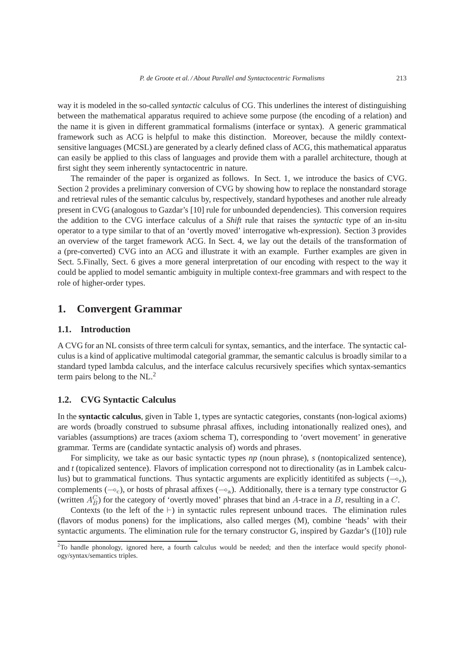way it is modeled in the so-called *syntactic* calculus of CG. This underlines the interest of distinguishing between the mathematical apparatus required to achieve some purpose (the encoding of a relation) and the name it is given in different grammatical formalisms (interface or syntax). A generic grammatical framework such as ACG is helpful to make this distinction. Moreover, because the mildly contextsensitive languages (MCSL) are generated by a clearly defined class of ACG, this mathematical apparatus can easily be applied to this class of languages and provide them with a parallel architecture, though at first sight they seem inherently syntactocentric in nature.

The remainder of the paper is organized as follows. In Sect. 1, we introduce the basics of CVG. Section 2 provides a preliminary conversion of CVG by showing how to replace the nonstandard storage and retrieval rules of the semantic calculus by, respectively, standard hypotheses and another rule already present in CVG (analogous to Gazdar's [10] rule for unbounded dependencies). This conversion requires the addition to the CVG interface calculus of a *Shift* rule that raises the *syntactic* type of an in-situ operator to a type similar to that of an 'overtly moved' interrogative wh-expression). Section 3 provides an overview of the target framework ACG. In Sect. 4, we lay out the details of the transformation of a (pre-converted) CVG into an ACG and illustrate it with an example. Further examples are given in Sect. 5.Finally, Sect. 6 gives a more general interpretation of our encoding with respect to the way it could be applied to model semantic ambiguity in multiple context-free grammars and with respect to the role of higher-order types.

# **1. Convergent Grammar**

#### **1.1. Introduction**

A CVG for an NL consists of three term calculi for syntax, semantics, and the interface. The syntactic calculus is a kind of applicative multimodal categorial grammar, the semantic calculus is broadly similar to a standard typed lambda calculus, and the interface calculus recursively specifies which syntax-semantics term pairs belong to the NL.<sup>2</sup>

### **1.2. CVG Syntactic Calculus**

In the **syntactic calculus**, given in Table 1, types are syntactic categories, constants (non-logical axioms) are words (broadly construed to subsume phrasal affixes, including intonationally realized ones), and variables (assumptions) are traces (axiom schema T), corresponding to 'overt movement' in generative grammar. Terms are (candidate syntactic analysis of) words and phrases.

For simplicity, we take as our basic syntactic types *np* (noun phrase), *s* (nontopicalized sentence), and *t* (topicalized sentence). Flavors of implication correspond not to directionality (as in Lambek calculus) but to grammatical functions. Thus syntactic arguments are explicitly identitifed as subjects  $(-\infty)$ , complements ( $\sim_c$ ), or hosts of phrasal affixes ( $\sim_a$ ). Additionally, there is a ternary type constructor G (written  $A_B^C$ ) for the category of 'overtly moved' phrases that bind an A-trace in a B, resulting in a C.

Contexts (to the left of the ⊢) in syntactic rules represent unbound traces. The elimination rules (flavors of modus ponens) for the implications, also called merges (M), combine 'heads' with their syntactic arguments. The elimination rule for the ternary constructor G, inspired by Gazdar's ([10]) rule

<sup>&</sup>lt;sup>2</sup>To handle phonology, ignored here, a fourth calculus would be needed; and then the interface would specify phonology/syntax/semantics triples.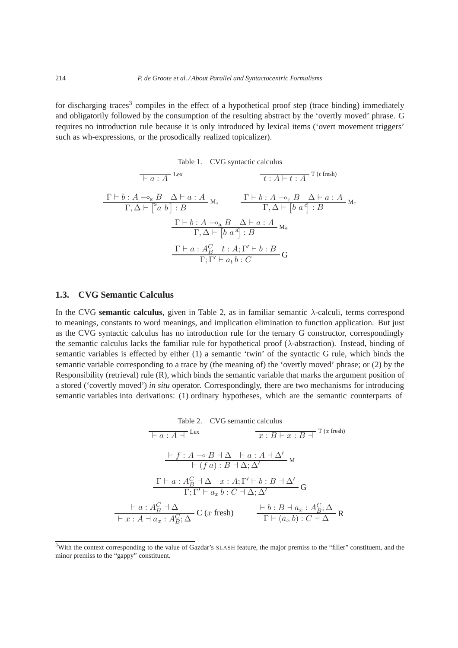for discharging traces<sup>3</sup> compiles in the effect of a hypothetical proof step (trace binding) immediately and obligatorily followed by the consumption of the resulting abstract by the 'overtly moved' phrase. G requires no introduction rule because it is only introduced by lexical items ('overt movement triggers' such as wh-expressions, or the prosodically realized topicalizer).

Table 1. CVG syntactic calculus

$$
\frac{\Gamma \vdash b : A \multimap_{s} B \quad \Delta \vdash a : A \quad \text{if } t : A \vdash t : A \quad \text{T (t fresh)}
$$
\n
$$
\frac{\Gamma \vdash b : A \multimap_{s} B \quad \Delta \vdash a : A \quad \text{and} \quad \Gamma \vdash b : A \multimap_{c} B \quad \Delta \vdash a : A \quad \text{and} \quad \Gamma, \Delta \vdash [b \ a^{c}] : B \quad \Gamma \vdash b : A \multimap_{a} B \quad \Delta \vdash a : A \quad \Gamma, \Delta \vdash [b \ a^{a}] : B \quad \Gamma \vdash a : A_{B}^{c} \quad t : A; \Gamma' \vdash b : B \quad \Gamma \vdash \Gamma' \vdash a_{t} b : C \quad \text{and} \quad \Gamma \vdash b : C \quad \text{and} \quad \Gamma \vdash a \vdash b : C \quad \text{and} \quad \Gamma \vdash a \vdash b : C \quad \text{and} \quad \Gamma \vdash a \vdash b : C \quad \text{and} \quad \Gamma \vdash a \vdash b : C \quad \text{and} \quad \Gamma \vdash a \vdash b : C \quad \text{and} \quad \Gamma \vdash a \vdash b : C \quad \text{and} \quad \Gamma \vdash a \vdash b : C \quad \text{and} \quad \Gamma \vdash a \vdash b : C \quad \text{and} \quad \Gamma \vdash a \vdash b : C \quad \text{and} \quad \Gamma \vdash a \vdash b : C \quad \text{and} \quad \Gamma \vdash a \vdash b : C \quad \text{and} \quad \Gamma \vdash b : A \vdash b : B \quad \text{and} \quad \Gamma \vdash a \vdash b : A \vdash b : B \quad \text{and} \quad \Gamma \vdash a \vdash b : A \vdash b : B \quad \text{and} \quad \Gamma \vdash a \vdash b : B \quad \text{and} \quad \Gamma \vdash a \vdash b : B \quad \text{and} \quad \Gamma \vdash a \vdash b : B \quad \text{and} \quad \Gamma \vdash b : B \quad \text{and} \quad \Gamma \vdash a \vdash b : B \quad \text{and} \quad \Gamma \vdash a \vdash b : B \quad \text{and} \quad \Gamma \vdash a \vdash b : B \quad \text{and} \quad \Gamma \vdash a \vdash b : B \quad \text{and} \quad \Gamma \vdash a \vdash b : B \quad \text{and
$$

#### **1.3. CVG Semantic Calculus**

In the CVG **semantic calculus**, given in Table 2, as in familiar semantic  $\lambda$ -calculi, terms correspond to meanings, constants to word meanings, and implication elimination to function application. But just as the CVG syntactic calculus has no introduction rule for the ternary G constructor, correspondingly the semantic calculus lacks the familiar rule for hypothetical proof ( $\lambda$ -abstraction). Instead, binding of semantic variables is effected by either (1) a semantic 'twin' of the syntactic G rule, which binds the semantic variable corresponding to a trace by (the meaning of) the 'overtly moved' phrase; or (2) by the Responsibility (retrieval) rule (R), which binds the semantic variable that marks the argument position of a stored ('covertly moved') *in situ* operator. Correspondingly, there are two mechanisms for introducing semantic variables into derivations: (1) ordinary hypotheses, which are the semantic counterparts of

Table 2. CVG semantic calculus  
\n
$$
\frac{\Box B}{\Box B} \cdot \frac{\Box B}{\Box B} + \frac{\Box B}{\Box B} + \frac{\Box B}{\Box B} + \frac{\Box B}{\Box B} + \frac{\Box B}{\Box B} + \frac{\Box B}{\Box B} + \frac{\Box B}{\Box B} + \frac{\Box B}{\Box B} + \frac{\Box B}{\Box B} + \frac{\Box B}{\Box B} + \frac{\Box B}{\Box B} + \frac{\Box B}{\Box B} + \frac{\Box B}{\Box B} + \frac{\Box B}{\Box B} + \frac{\Box B}{\Box B} + \frac{\Box B}{\Box B} + \frac{\Box B}{\Box B} + \frac{\Box B}{\Box B} + \frac{\Box B}{\Box B} + \frac{\Box B}{\Box B} + \frac{\Box B}{\Box B} + \frac{\Box B}{\Box B} + \frac{\Box B}{\Box B} + \frac{\Box B}{\Box B} + \frac{\Box B}{\Box B} + \frac{\Box B}{\Box B} + \frac{\Box B}{\Box B} + \frac{\Box B}{\Box B} + \frac{\Box B}{\Box B} + \frac{\Box B}{\Box B} + \frac{\Box B}{\Box B} + \frac{\Box B}{\Box B} + \frac{\Box B}{\Box B} + \frac{\Box B}{\Box B} + \frac{\Box B}{\Box B} + \frac{\Box B}{\Box B} + \frac{\Box B}{\Box B} + \frac{\Box B}{\Box B} + \frac{\Box B}{\Box B} + \frac{\Box B}{\Box B} + \frac{\Box B}{\Box B} + \frac{\Box B}{\Box B} + \frac{\Box B}{\Box B} + \frac{\Box B}{\Box B} + \frac{\Box B}{\Box B} + \frac{\Box B}{\Box B} + \frac{\Box B}{\Box B} + \frac{\Box B}{\Box B} + \frac{\Box B}{\Box B} + \frac{\Box B}{\Box B} + \frac{\Box B}{\Box B} + \frac{\Box B}{\Box B} + \frac{\Box B}{\Box B} + \frac{\Box B}{\Box B} + \frac{\Box B}{\Box B} + \frac{\Box B}{\Box B} + \frac{\Box B}{\Box B} + \frac{\Box B}{\Box B} + \frac{\Box B}{\Box B} + \frac{\Box B}{\Box B} + \frac{\Box B}{\Box B} + \frac{\Box B}{\Box B} + \frac{\Box B}{\Box B} + \frac{\Box B}{\Box B} + \frac{\Box B}{\Box B} + \frac{\Box B}{\Box B} + \frac{\Box B}{\Box B} +
$$

<sup>&</sup>lt;sup>3</sup>With the context corresponding to the value of Gazdar's SLASH feature, the major premiss to the "filler" constituent, and the minor premiss to the "gappy" constituent.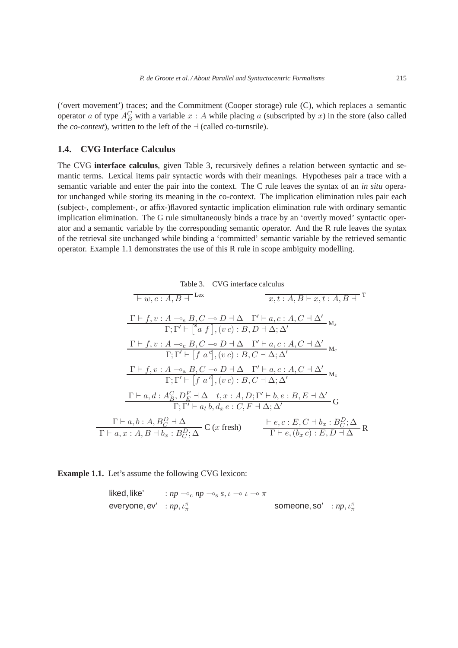('overt movement') traces; and the Commitment (Cooper storage) rule (C), which replaces a semantic operator a of type  $A_B^C$  with a variable  $x : A$  while placing a (subscripted by x) in the store (also called the *co-context*), written to the left of the  $\exists$  (called co-turnstile).

# **1.4. CVG Interface Calculus**

The CVG **interface calculus**, given Table 3, recursively defines a relation between syntactic and semantic terms. Lexical items pair syntactic words with their meanings. Hypotheses pair a trace with a semantic variable and enter the pair into the context. The C rule leaves the syntax of an *in situ* operator unchanged while storing its meaning in the co-context. The implication elimination rules pair each (subject-, complement-, or affix-)flavored syntactic implication elimination rule with ordinary semantic implication elimination. The G rule simultaneously binds a trace by an 'overtly moved' syntactic operator and a semantic variable by the corresponding semantic operator. And the R rule leaves the syntax of the retrieval site unchanged while binding a 'committed' semantic variable by the retrieved semantic operator. Example 1.1 demonstrates the use of this R rule in scope ambiguity modelling.

Table 3. CVG interface calculus  
\n
$$
\frac{\text{Table 3. CVG interface calculus}}{\text{F.v. c : } A, B + \text{Lex}} \qquad \frac{x, t : A, B \vdash x, t : A, B \vdash T}{x, t : A, B \vdash x, t : A, B \vdash T}
$$
\n
$$
\frac{\Gamma \vdash f, v : A \multimap_{s} B, C \multimap D \dashv \Delta \quad \Gamma' \vdash a, c : A, C \dashv \Delta'}{\Gamma; \Gamma' \vdash [{}^{s}a f], (v c) : B, D \dashv \Delta; \Delta'}
$$
\n
$$
\frac{\Gamma \vdash f, v : A \multimap_{c} B, C \multimap D \dashv \Delta \quad \Gamma' \vdash a, c : A, C \dashv \Delta'}{\Gamma; \Gamma' \vdash [f a^{c}], (v c) : B, C \dashv \Delta; \Delta'} \mathbf{M}_{c}
$$
\n
$$
\frac{\Gamma \vdash f, v : A \multimap_{a} B, C \multimap D \dashv \Delta \quad \Gamma' \vdash a, c : A, C \dashv \Delta'}{\Gamma; \Gamma' \vdash [f a^{a}], (v c) : B, C \dashv \Delta; \Delta'} \mathbf{G}
$$
\n
$$
\frac{\Gamma \vdash a, d : A_{B}^{C}, D_{E}^{F} \dashv \Delta \quad t, x : A, D; \Gamma' \vdash b, e : B, E \dashv \Delta'}{\Gamma; \Gamma' \vdash a, b, d, x \in C, F \dashv \Delta; \Delta'} \mathbf{G}
$$
\n
$$
\frac{\Gamma \vdash a, b : A, B_{C}^{D} \dashv \Delta}{\Gamma \vdash e, (b, x) : B, D \dashv \Delta} \mathbf{C} \text{ (x fresh)} \qquad \frac{\vdash e, c : E, C \dashv b_{x} : B_{C}^{D}; \Delta}{\Gamma \vdash e, (b_{x} c) : E, D \dashv \Delta} \mathbf{R}
$$

**Example 1.1.** Let's assume the following CVG lexicon:

\n
$$
\text{likelihood, like'} \quad \text{in } \quad \text{in } \quad \text{in } \quad \text{in } \quad \text{in } \quad \text{in } \quad \text{in } \quad \text{in } \quad \text{in } \quad \text{in } \quad \text{in } \quad \text{in } \quad \text{in } \quad \text{in } \quad \text{in } \quad \text{in } \quad \text{in } \quad \text{in } \quad \text{in } \quad \text{in } \quad \text{in } \quad \text{in } \quad \text{in } \quad \text{in } \quad \text{in } \quad \text{in } \quad \text{in } \quad \text{in } \quad \text{in } \quad \text{in } \quad \text{in } \quad \text{in } \quad \text{in } \quad \text{in } \quad \text{in } \quad \text{in } \quad \text{in } \quad \text{in } \quad \text{in } \quad \text{in } \quad \text{in } \quad \text{in } \quad \text{in } \quad \text{in } \quad \text{in } \quad \text{in } \quad \text{in } \quad \text{in } \quad \text{in } \quad \text{in } \quad \text{in } \quad \text{in } \quad \text{in } \quad \text{in } \quad \text{in } \quad \text{in } \quad \text{in } \quad \text{in } \quad \text{in } \quad \text{in } \quad \text{in } \quad \text{in } \quad \text{in } \quad \text{in } \quad \text{in } \quad \text{in } \quad \text{in } \quad \text{in } \quad \text{in } \quad \text{in } \quad \text{in } \quad \text{in } \quad \text{in } \quad \text{in } \quad \text{in } \quad \text{in } \quad \text{in } \quad \text{in } \quad \text{in } \quad \text{in } \quad \text{in } \quad \text{in } \quad \text{in } \quad \text{in } \quad \text{in } \quad \text{in } \quad \text{in } \quad \text{in } \quad \text{in } \quad \text{in } \quad \text{in } \quad \text{in } \quad \text{in } \quad \text{in } \quad \text{in } \quad \text{in } \quad \text{in } \quad \text{in } \quad \text{in } \quad \text{in } \quad \text{in } \quad \text{in } \quad \text{in } \quad \text{in } \quad \text{in } \quad \text{in } \quad \text{in } \quad \text
$$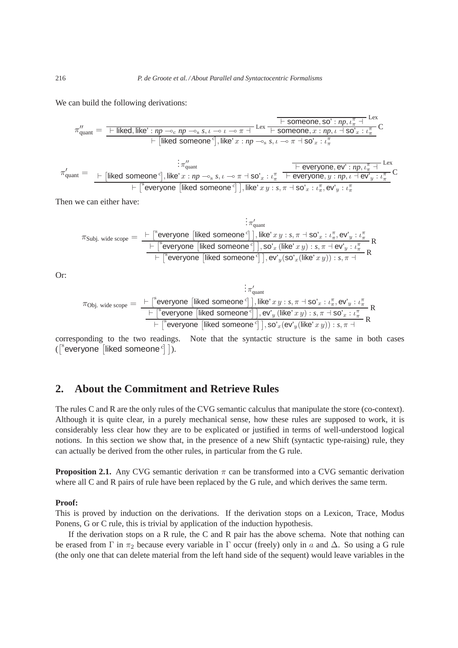We can build the following derivations:

$$
\pi''_{\text{quant}} = \frac{\text{F liked, like'}: np \rightarrow_c np \rightarrow_s s, \iota \rightarrow \iota \rightarrow \pi + \text{Lex F someone, so'}: np, \iota \frac{\pi}{\pi} + \text{Lex } \pi}{\text{F someone, } x : np, \iota \rightarrow \text{So'} \cdot x : \iota \frac{\pi}{\pi} \text{ } C}
$$
\n
$$
\pi'_{\text{quant}} = \frac{\text{F [likelihood someone'}], \text{like'} \, x : np \rightarrow_s s, \iota \rightarrow \pi + \text{SO'}_x : \iota \frac{\pi}{\pi}}{\text{F everyone, ev'}: np, \iota \frac{\pi}{\pi} + \text{Lex } \pi \text{ } C}
$$
\n
$$
\pi'_{\text{quant}} = \frac{\text{F [likelihood someone'}], \text{like'} \, x : np \rightarrow_s s, \iota \rightarrow \pi + \text{SO'}_x : \iota \frac{\pi}{\pi} \text{ } \text{F everyone, ev'}: np, \iota \frac{\pi}{\pi} + \text{Lex } \pi \text{ } C}{\text{Féveryone [likelihood someone'}], \text{like'} \, x \, y : s, \pi \rightarrow \text{SO'}_x : \iota \frac{\pi}{\pi}, \text{ev'}_y : \iota \frac{\pi}{\pi} \text{ } C}
$$

Then we can either have:

$$
\pi'_{\text{quant}} \\
\pi_{\text{Subj. wide scope}} = \frac{\vdash \ulcorner^{\text{S}} \text{everyone [likelihood someone}^{\text{C}} \urcorner \urcorner \urcorner, \text{lev}^{\text{C}} \urcorner x y : s, \pi \rightharpoonup \text{so'}_{x} : \iota_{\pi}^{\pi}, \text{ev'}_{y} : \iota_{\pi}^{\pi} \urcorner \text{Re}^{\text{C}} \urcorner \urcorner \urcorner \urcorner \urcorner \text{sev}^{\text{C}} \urcorner \text{vev} \urcorner \text{sev}^{\text{C}} \urcorner \text{like}^{\text{C}} \urcorner \text{sev}^{\text{C}} \urcorner \text{like}^{\text{C}} \urcorner \text{wev} \urcorner \text{use}^{\text{C}} \urcorner \text{like}^{\text{C}} \urcorner \text{use}^{\text{C}} \urcorner \text{like}^{\text{C}} \urcorner x y) : s, \pi \rightharpoonup \text{ev'}_{y} : \iota_{\pi}^{\pi} \urcorner \text{Re}^{\text{C}} \urcorner \text{the}^{\text{C}} \urcorner \text{use}^{\text{C}} \urcorner \text{the}^{\text{C}} \urcorner \text{use}^{\text{C}} \urcorner \text{the}^{\text{C}} \urcorner x y) : s, \pi \rightharpoonup \text{Re}^{\text{C}} \urcorner \text{the}^{\text{C}} \urcorner x y \urcorner \text{the}^{\text{C}} \urcorner x y \urcorner \text{the}^{\text{C}} \urcorner x y \urcorner \text{the}^{\text{C}} \urcorner x y \urcorner \text{the}^{\text{C}} \urcorner x y \urcorner \text{the}^{\text{C}} \urcorner x y \urcorner \text{the}^{\text{C}} \urcorner x y \urcorner \text{the}^{\text{C}} \urcorner x y \urcorner \text{the}^{\text{C}} \urcorner x y \urcorner \text{the}^{\text{C}} \urcorner x y \urcorner \text{the}^{\text{C}} \urcorner x y \urcorner \text{the}^{\text{C}} \urcorner x y \urcorner \text{the}^{\text{C}} \urcorner x y \urcorner \text{the}^{\text{C}} \urcorner x y \urcorner \text{the}^{\text{C}} \urcorner x y \urcorner x \urcorner x \urcorner x \urcorner x \urcorner x \urcorner
$$

Or:

$$
\pi_{\text{Obj. wide scope}} = \frac{\vdash [\text{``everyone [likelihood someone'']}], \text{like'} x y : s, \pi \dashv \text{so'}_x : \iota_\pi^\pi, \text{ev'}_y : \iota_\pi^\pi \vdash \text{R}^{\text{``everyone [likelihood someone'']}}, \text{like'} x y : s, \pi \dashv \text{so'}_x : \iota_\pi^\pi \vdash \text{R}^{\text{``everyone [likelihood someone'']}}, \text{sv'}_y (\text{like'} x y) : s, \pi \dashv \text{so'}_x : \iota_\pi^\pi \vdash \text{R}
$$

corresponding to the two readings. Note that the syntactic structure is the same in both cases  $(\left[\n\begin{array}{cc} \n\text{sev} & \n\text{sev} \\
\text{sev} & \n\end{array}\n\right]$  ( $\left[\n\begin{array}{cc} \n\text{sev} & \n\text{sev} \\
\text{sev} & \n\end{array}\n\right]$ 

# **2. About the Commitment and Retrieve Rules**

The rules C and R are the only rules of the CVG semantic calculus that manipulate the store (co-context). Although it is quite clear, in a purely mechanical sense, how these rules are supposed to work, it is considerably less clear how they are to be explicated or justified in terms of well-understood logical notions. In this section we show that, in the presence of a new Shift (syntactic type-raising) rule, they can actually be derived from the other rules, in particular from the G rule.

**Proposition 2.1.** Any CVG semantic derivation  $\pi$  can be transformed into a CVG semantic derivation where all C and R pairs of rule have been replaced by the G rule, and which derives the same term.

#### **Proof:**

This is proved by induction on the derivations. If the derivation stops on a Lexicon, Trace, Modus Ponens, G or C rule, this is trivial by application of the induction hypothesis.

If the derivation stops on a R rule, the C and R pair has the above schema. Note that nothing can be erased from  $\Gamma$  in  $\pi_2$  because every variable in  $\Gamma$  occur (freely) only in a and  $\Delta$ . So using a G rule (the only one that can delete material from the left hand side of the sequent) would leave variables in the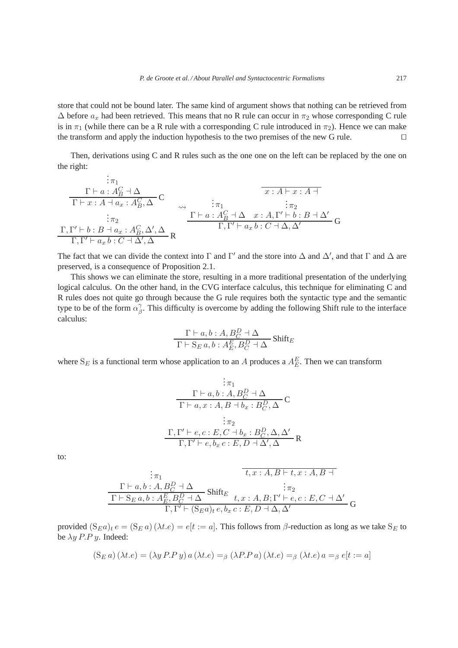store that could not be bound later. The same kind of argument shows that nothing can be retrieved from  $\Delta$  before  $a_x$  had been retrieved. This means that no R rule can occur in  $\pi_2$  whose corresponding C rule is in  $\pi_1$  (while there can be a R rule with a corresponding C rule introduced in  $\pi_2$ ). Hence we can make the transform and apply the induction hypothesis to the two premises of the new G rule. □

Then, derivations using C and R rules such as the one one on the left can be replaced by the one on the right:

. . . π<sup>1</sup> Γ ⊢ a : A<sup>C</sup> <sup>B</sup> ⊣ ∆ C Γ ⊢ x : A ⊣ a<sup>x</sup> : A<sup>C</sup> B , ∆ . . . π<sup>2</sup> Γ, Γ ′ ⊢ b : B ⊣ a<sup>x</sup> : A<sup>C</sup> B , ∆′ , ∆ R Γ, Γ ′ ⊢ a<sup>x</sup> b : C ⊣ ∆′ , ∆ . . . π<sup>1</sup> Γ ⊢ a : A<sup>C</sup> <sup>B</sup> ⊣ ∆ x : A ⊢ x : A ⊣ . . . π<sup>2</sup> x : A, Γ ′ ⊢ b : B ⊣ ∆′ G Γ, Γ ′ ⊢ a<sup>x</sup> b : C ⊣ ∆, ∆′

The fact that we can divide the context into  $\Gamma$  and  $\Gamma'$  and the store into  $\Delta$  and  $\Delta'$ , and that  $\Gamma$  and  $\Delta$  are preserved, is a consequence of Proposition 2.1.

This shows we can eliminate the store, resulting in a more traditional presentation of the underlying logical calculus. On the other hand, in the CVG interface calculus, this technique for eliminating C and R rules does not quite go through because the G rule requires both the syntactic type and the semantic type to be of the form  $\alpha_{\beta}^{\gamma}$  $\beta$ . This difficulty is overcome by adding the following Shift rule to the interface calculus:

$$
\frac{\Gamma\vdash a, b:A, B_C^D\dashv \Delta}{\Gamma\vdash \mathcal{S}_E\, a, b:A_E^E,B_C^D\dashv \Delta}\,\text{Shift}_E
$$

where  $S_E$  is a functional term whose application to an A produces a  $A_E^E$ . Then we can transform

$$
\frac{\n\vdots \pi_1}{\Gamma \vdash a, b : A, B_C^D \vdash \Delta} \n\frac{\Gamma \vdash a, b : A, B_C^D \vdash \Delta}{\Gamma \vdash a, x : A, B \vdash b_x : B_C^D, \Delta} \n\mathbf{C}
$$
\n
$$
\frac{\Gamma, \Gamma' \vdash e, c : E, C \vdash b_x : B_C^D, \Delta, \Delta'}{\Gamma, \Gamma' \vdash e, b_x c : E, D \vdash \Delta', \Delta} \mathbf{R}
$$

to:

$$
\begin{array}{c}\n\vdots \pi_1 \quad \pi_2 \\
\Gamma \vdash a, b : A, B_C^D \dashv \Delta \\
\hline\n\Gamma \vdash S_E a, b : A_E^E, B_C^D \dashv \Delta\n\end{array} \n\text{Shift}_E\n\begin{array}{c}\n\vdots \pi_2 \\
\tau_2 \vdots \pi_2 \\
\Gamma \vdash S_E a, b : A_E^E, B_C^D \dashv \Delta \Delta \quad t, x : A, B; \Gamma' \vdash e, c : E, C \dashv \Delta' \\
\Gamma, \Gamma' \vdash (S_E a)_t \cdot e, b_x \cdot c : E, D \dashv \Delta, \Delta'\n\end{array} G
$$

provided  $(S_Ea)_te = (S_Ea)(\lambda te) = e[t := a]$ . This follows from  $\beta$ -reduction as long as we take  $S_E$  to be  $\lambda y$  *P.P y.* Indeed:

$$
(\mathcal{S}_E a)(\lambda t.e) = (\lambda y P.P y) a (\lambda t.e) =_{\beta} (\lambda P.P a) (\lambda t.e) =_{\beta} (\lambda t.e) a =_{\beta} e[t := a]
$$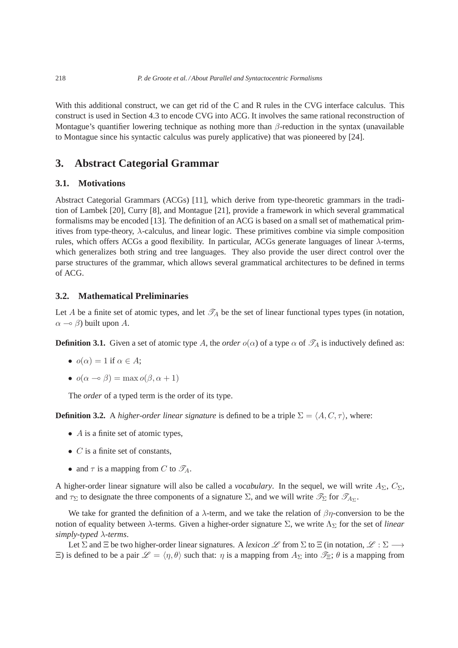With this additional construct, we can get rid of the C and R rules in the CVG interface calculus. This construct is used in Section 4.3 to encode CVG into ACG. It involves the same rational reconstruction of Montague's quantifier lowering technique as nothing more than  $\beta$ -reduction in the syntax (unavailable to Montague since his syntactic calculus was purely applicative) that was pioneered by [24].

# **3. Abstract Categorial Grammar**

### **3.1. Motivations**

Abstract Categorial Grammars (ACGs) [11], which derive from type-theoretic grammars in the tradition of Lambek [20], Curry [8], and Montague [21], provide a framework in which several grammatical formalisms may be encoded [13]. The definition of an ACG is based on a small set of mathematical primitives from type-theory,  $\lambda$ -calculus, and linear logic. These primitives combine via simple composition rules, which offers ACGs a good flexibility. In particular, ACGs generate languages of linear  $\lambda$ -terms, which generalizes both string and tree languages. They also provide the user direct control over the parse structures of the grammar, which allows several grammatical architectures to be defined in terms of ACG.

### **3.2. Mathematical Preliminaries**

Let A be a finite set of atomic types, and let  $\mathcal{T}_A$  be the set of linear functional types types (in notation,  $\alpha \to \beta$ ) built upon A.

**Definition 3.1.** Given a set of atomic type A, the *order*  $o(\alpha)$  of a type  $\alpha$  of  $\mathscr{T}_A$  is inductively defined as:

- $o(\alpha) = 1$  if  $\alpha \in A$ ;
- $o(\alpha \to \beta) = \max o(\beta, \alpha + 1)$

The *order* of a typed term is the order of its type.

**Definition 3.2.** A *higher-order linear signature* is defined to be a triple  $\Sigma = \langle A, C, \tau \rangle$ , where:

- $\bullet$  A is a finite set of atomic types,
- $C$  is a finite set of constants,
- and  $\tau$  is a mapping from C to  $\mathscr{T}_A$ .

A higher-order linear signature will also be called a *vocabulary*. In the sequel, we will write  $A_{\Sigma}$ ,  $C_{\Sigma}$ , and  $\tau_{\Sigma}$  to designate the three components of a signature  $\Sigma$ , and we will write  $\mathscr{T}_{\Sigma}$  for  $\mathscr{T}_{A_{\Sigma}}$ .

We take for granted the definition of a  $\lambda$ -term, and we take the relation of  $\beta\eta$ -conversion to be the notion of equality between  $\lambda$ -terms. Given a higher-order signature  $\Sigma$ , we write  $\Lambda_{\Sigma}$  for the set of *linear simply-typed* λ*-terms*.

Let  $\Sigma$  and  $\Xi$  be two higher-order linear signatures. A *lexicon*  $\mathscr L$  from  $\Sigma$  to  $\Xi$  (in notation,  $\mathscr L : \Sigma \longrightarrow$  $\Xi$ ) is defined to be a pair  $\mathscr{L} = \langle \eta, \theta \rangle$  such that:  $\eta$  is a mapping from  $A_{\Sigma}$  into  $\mathscr{I}_{\Xi}$ ;  $\theta$  is a mapping from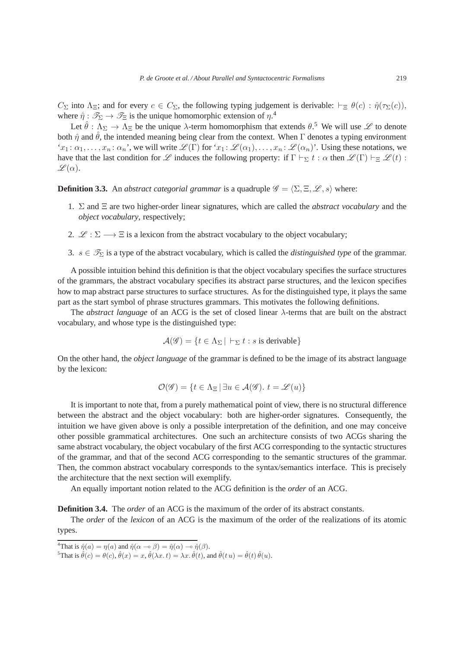$C_{\Sigma}$  into  $\Lambda_{\Xi}$ ; and for every  $c \in C_{\Sigma}$ , the following typing judgement is derivable:  $\vdash_{\Xi} \theta(c) : \hat{\eta}(\tau_{\Sigma}(c))$ , where  $\hat{\eta}: \mathscr{T}_{\Sigma} \to \mathscr{T}_{\Xi}$  is the unique homomorphic extension of  $\eta$ .<sup>4</sup>

Let  $\hat{\theta}$ :  $\Lambda_{\Sigma} \to \Lambda_{\Xi}$  be the unique  $\lambda$ -term homomorphism that extends  $\theta$ .<sup>5</sup> We will use  $\mathscr{L}$  to denote both  $\hat{\eta}$  and  $\hat{\theta}$ , the intended meaning being clear from the context. When  $\Gamma$  denotes a typing environment ' $x_1: \alpha_1, \ldots, x_n: \alpha_n$ ', we will write  $\mathscr{L}(\Gamma)$  for ' $x_1: \mathscr{L}(\alpha_1), \ldots, x_n: \mathscr{L}(\alpha_n)$ '. Using these notations, we have that the last condition for L induces the following property: if  $\Gamma \vdash_{\Sigma} t : \alpha$  then  $\mathscr{L}(\Gamma) \vdash_{\Xi} \mathscr{L}(t)$ :  $\mathscr{L}(\alpha)$ .

**Definition 3.3.** An *abstract categorial grammar* is a quadruple  $\mathscr{G} = \langle \Sigma, \Xi, \mathscr{L}, s \rangle$  where:

- 1. Σ and Ξ are two higher-order linear signatures, which are called the *abstract vocabulary* and the *object vocabulary*, respectively;
- 2.  $\mathcal{L} : \Sigma \longrightarrow \Xi$  is a lexicon from the abstract vocabulary to the object vocabulary;
- 3.  $s \in \mathcal{T}_{\Sigma}$  is a type of the abstract vocabulary, which is called the *distinguished type* of the grammar.

A possible intuition behind this definition is that the object vocabulary specifies the surface structures of the grammars, the abstract vocabulary specifies its abstract parse structures, and the lexicon specifies how to map abstract parse structures to surface structures. As for the distinguished type, it plays the same part as the start symbol of phrase structures grammars. This motivates the following definitions.

The *abstract language* of an ACG is the set of closed linear λ-terms that are built on the abstract vocabulary, and whose type is the distinguished type:

$$
\mathcal{A}(\mathscr{G}) = \{ t \in \Lambda_{\Sigma} \mid \vdash_{\Sigma} t : s \text{ is derivable} \}
$$

On the other hand, the *object language* of the grammar is defined to be the image of its abstract language by the lexicon:

$$
\mathcal{O}(\mathscr{G}) = \{ t \in \Lambda_{\Xi} \, | \, \exists u \in \mathcal{A}(\mathscr{G}). \ t = \mathscr{L}(u) \}
$$

It is important to note that, from a purely mathematical point of view, there is no structural difference between the abstract and the object vocabulary: both are higher-order signatures. Consequently, the intuition we have given above is only a possible interpretation of the definition, and one may conceive other possible grammatical architectures. One such an architecture consists of two ACGs sharing the same abstract vocabulary, the object vocabulary of the first ACG corresponding to the syntactic structures of the grammar, and that of the second ACG corresponding to the semantic structures of the grammar. Then, the common abstract vocabulary corresponds to the syntax/semantics interface. This is precisely the architecture that the next section will exemplify.

An equally important notion related to the ACG definition is the *order* of an ACG.

**Definition 3.4.** The *order* of an ACG is the maximum of the order of its abstract constants.

The *order* of the *lexicon* of an ACG is the maximum of the order of the realizations of its atomic types.

<sup>&</sup>lt;sup>4</sup>That is  $\hat{\eta}(a) = \eta(a)$  and  $\hat{\eta}(\alpha - \beta) = \hat{\eta}(\alpha) - \hat{\eta}(\beta)$ .

<sup>&</sup>lt;sup>5</sup>That is  $\hat{\theta}(c) = \theta(c), \hat{\theta}(x) = x, \hat{\theta}(\lambda x, t) = \lambda x, \hat{\theta}(t),$  and  $\hat{\theta}(t u) = \hat{\theta}(t) \hat{\theta}(u)$ .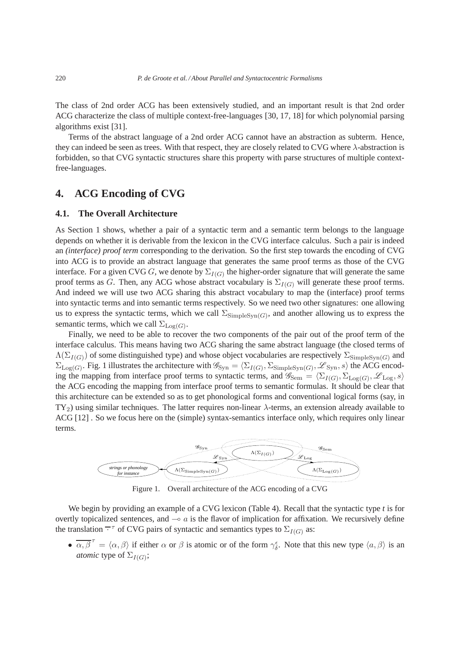The class of 2nd order ACG has been extensively studied, and an important result is that 2nd order ACG characterize the class of multiple context-free-languages [30, 17, 18] for which polynomial parsing algorithms exist [31].

Terms of the abstract language of a 2nd order ACG cannot have an abstraction as subterm. Hence, they can indeed be seen as trees. With that respect, they are closely related to CVG where  $\lambda$ -abstraction is forbidden, so that CVG syntactic structures share this property with parse structures of multiple contextfree-languages.

# **4. ACG Encoding of CVG**

#### **4.1. The Overall Architecture**

As Section 1 shows, whether a pair of a syntactic term and a semantic term belongs to the language depends on whether it is derivable from the lexicon in the CVG interface calculus. Such a pair is indeed an *(interface) proof term* corresponding to the derivation. So the first step towards the encoding of CVG into ACG is to provide an abstract language that generates the same proof terms as those of the CVG interface. For a given CVG G, we denote by  $\Sigma_{I(G)}$  the higher-order signature that will generate the same proof terms as G. Then, any ACG whose abstract vocabulary is  $\Sigma_{I(G)}$  will generate these proof terms. And indeed we will use two ACG sharing this abstract vocabulary to map the (interface) proof terms into syntactic terms and into semantic terms respectively. So we need two other signatures: one allowing us to express the syntactic terms, which we call  $\Sigma_{\text{SimpleSyn}(G)}$ , and another allowing us to express the semantic terms, which we call  $\Sigma_{\text{Log}(G)}$ .

Finally, we need to be able to recover the two components of the pair out of the proof term of the interface calculus. This means having two ACG sharing the same abstract language (the closed terms of  $\Lambda(\Sigma_{I(G)})$  of some distinguished type) and whose object vocabularies are respectively  $\Sigma_{\text{SimpleSyn}(G)}$  and  $\Sigma_{\text{Log}(G)}$ . Fig. 1 illustrates the architecture with  $\mathscr{G}_{\text{Syn}} = \langle \Sigma_{I(G)}, \Sigma_{\text{SimpleSyn}(G)}, \mathscr{L}_{\text{Syn}}, s \rangle$  the ACG encoding the mapping from interface proof terms to syntactic terms, and  $\mathscr{G}_{Sem} = \langle \Sigma_{I(G)}, \Sigma_{Log(G)}, \mathscr{L}_{Log}, s \rangle$ the ACG encoding the mapping from interface proof terms to semantic formulas. It should be clear that this architecture can be extended so as to get phonological forms and conventional logical forms (say, in  $TY_2$ ) using similar techniques. The latter requires non-linear  $\lambda$ -terms, an extension already available to ACG [12] . So we focus here on the (simple) syntax-semantics interface only, which requires only linear terms.



Figure 1. Overall architecture of the ACG encoding of a CVG

We begin by providing an example of a CVG lexicon (Table 4). Recall that the syntactic type *t* is for overtly topicalized sentences, and  $\sim a$  is the flavor of implication for affixation. We recursively define the translation  $\overline{\cdot}^{\tau}$  of CVG pairs of syntactic and semantics types to  $\Sigma_{I(G)}$  as:

 $\bullet \ \overline{\alpha, \beta}^{\tau} = \langle \alpha, \beta \rangle$  if either  $\alpha$  or  $\beta$  is atomic or of the form  $\gamma_{\delta}^{\epsilon}$ . Note that this new type  $\langle a, \beta \rangle$  is an *atomic* type of  $\Sigma_{I(G)}$ ;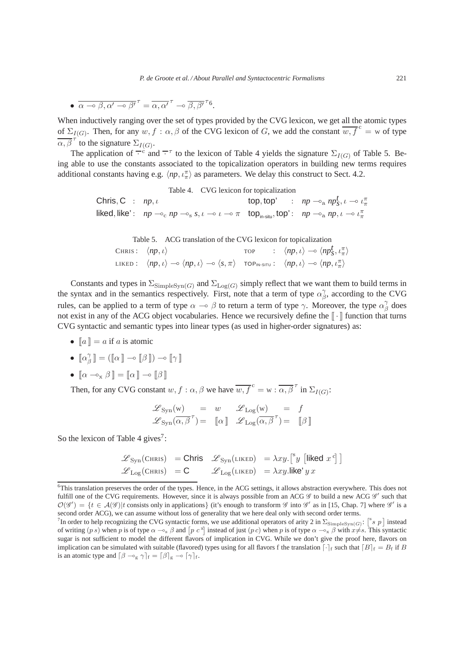•  $\overline{\alpha \circ \beta, \alpha' \circ \beta'}^{\tau} = \overline{\alpha, \alpha'}^{\tau} \circ \overline{\beta, \beta'}^{\tau}$ 6.

When inductively ranging over the set of types provided by the CVG lexicon, we get all the atomic types of  $\Sigma_{I(G)}$ . Then, for any  $w, f : \alpha, \beta$  of the CVG lexicon of G, we add the constant  $\overline{w, f}^c = w$  of type  $\overline{\alpha, \beta}^{\tau}$  to the signature  $\Sigma_{I(G)}$ .

The application of  $\overline{\cdot}^c$  and  $\overline{\cdot}^{\tau}$  to the lexicon of Table 4 yields the signature  $\Sigma_{I(G)}$  of Table 5. Being able to use the constants associated to the topicalization operators in building new terms requires additional constants having e.g.  $\langle np, \iota^{\pi}_{\pi} \rangle$  as parameters. We delay this construct to Sect. 4.2.

Table 4. CVG lexicon for topicalization

Chris, C :  $np, \iota$  (bp, top' :  $np \rightarrow a \ np_s^t, \iota \rightarrow \iota_\pi^{\pi}$  $\mathsf{liked}, \mathsf{like':} \quad np \rightharpoonup_{\mathsf{c}} np \rightharpoonup_{\mathsf{s}} s, \iota \rightharpoonup \iota \rightharpoonup \pi \quad \mathsf{top}_{\mathsf{in}\text{-}\mathsf{situ}}, \mathsf{top':} \quad np \rightharpoonup_{\mathsf{a}} np, \iota \rightharpoonup \iota \pi$ 

Table 5. ACG translation of the CVG lexicon for topicalization

CHRIS:  $\langle np, \iota \rangle$  TOP :  $\langle np, \iota \rangle \rightarrow \langle np_s^{\dagger}, \iota_n^{\pi} \rangle$ LIKED :  $\langle np, \iota \rangle \to \langle np, \iota \rangle \to \langle s, \pi \rangle$  TOP<sub>IN-SITU</sub> :  $\langle np, \iota \rangle \to \langle np, \iota_{\pi}^{\pi} \rangle$ 

Constants and types in  $\Sigma_{\text{SimpleSyn}(G)}$  and  $\Sigma_{\text{Log}(G)}$  simply reflect that we want them to build terms in the syntax and in the semantics respectively. First, note that a term of type  $\alpha_{\beta}^{\gamma}$  $\beta$ , according to the CVG rules, can be applied to a term of type  $\alpha \to \beta$  to return a term of type  $\gamma$ . Moreover, the type  $\alpha_{\beta}^{\gamma}$  $\frac{\gamma}{\beta}$  does not exist in any of the ACG object vocabularies. Hence we recursively define the  $\lceil \cdot \rceil$  function that turns CVG syntactic and semantic types into linear types (as used in higher-order signatures) as:

- $[a] = a$  if a is atomic
- $\lbrack \alpha \rbrack^{\gamma}$  $\begin{bmatrix} \gamma \\ \beta \end{bmatrix} = (\llbracket \alpha \rrbracket \multimap \llbracket \beta \rrbracket) \multimap \llbracket \gamma \rrbracket$
- $\lbrack \alpha \circ_{\mathbf{x}} \beta \rbrack = \lbrack \alpha \rbrack \circ \lbrack \beta \rbrack$

Then, for any CVG constant  $w, f : \alpha, \beta$  we have  $\overline{w, f}^c = w : \overline{\alpha, \beta}^\tau$  in  $\Sigma_{I(G)}$ :

$$
\begin{array}{rcl}\n\mathscr{L}_{\text{Syn}}(\mathbf{w}) & = & w & \mathscr{L}_{\text{Log}}(\mathbf{w}) & = & f \\
\mathscr{L}_{\text{Syn}}(\overline{\alpha}, \overline{\beta}^{\tau}) = & \llbracket \alpha \rrbracket & \mathscr{L}_{\text{Log}}(\overline{\alpha}, \overline{\beta}^{\tau}) = & \llbracket \beta \rrbracket\n\end{array}
$$

So the lexicon of Table 4 gives<sup>7</sup>:

$$
\begin{array}{lll}\mathscr{L}_{\text{Syn}}(\text{CHRIS})&=\text{Chris} &\mathscr{L}_{\text{Syn}}(\text{LiKED})&=\lambda x y.\big[^{\text{s}} y \,\big[\text{liked} \; x^{\text{c}}\big]\big]\\ \mathscr{L}_{\text{Log}}(\text{CHRIS})&=\text{C} &\mathscr{L}_{\text{Log}}(\text{LiKED})&=\lambda x y.\text{like'}\,y\,x\end{array}
$$

<sup>&</sup>lt;sup>6</sup>This translation preserves the order of the types. Hence, in the ACG settings, it allows abstraction everywhere. This does not fulfill one of the CVG requirements. However, since it is always possible from an ACG  $\mathscr G$  to build a new ACG  $\mathscr G'$  such that  $\mathcal{O}(\mathscr{G}') = \{t \in \mathcal{A}(\mathscr{G}) | t \text{ consists only in applications}\}$  (it's enough to transform  $\mathscr{G}$  into  $\mathscr{G}'$  as in [15, Chap. 7] where  $\mathscr{G}'$  is a second order ACG), we can assume without loss of generality that we here deal only with second order terms.

<sup>&</sup>lt;sup>7</sup>In order to help recognizing the CVG syntactic forms, we use additional operators of arity 2 in  $\Sigma_{\text{SimpleSyn}(G)}$ :  $\begin{bmatrix} s & p \end{bmatrix}$  instead of writing  $(p s)$  when p is of type  $\alpha \rightarrow_{s} \beta$  and  $[p c^x]$  instead of just  $(p c)$  when p is of type  $\alpha \rightarrow_{x} \beta$  with  $x \neq s$ . This syntactic sugar is not sufficient to model the different flavors of implication in CVG. While we don't give the proof here, flavors on implication can be simulated with suitable (flavored) types using for all flavors f the translation  $[\cdot]_f$  such that  $[B]_f = B_f$  if B is an atomic type and  $\left[\beta - \log \gamma\right]_f = \left[\beta\right]_g \rightarrow \left[\gamma\right]_f$ .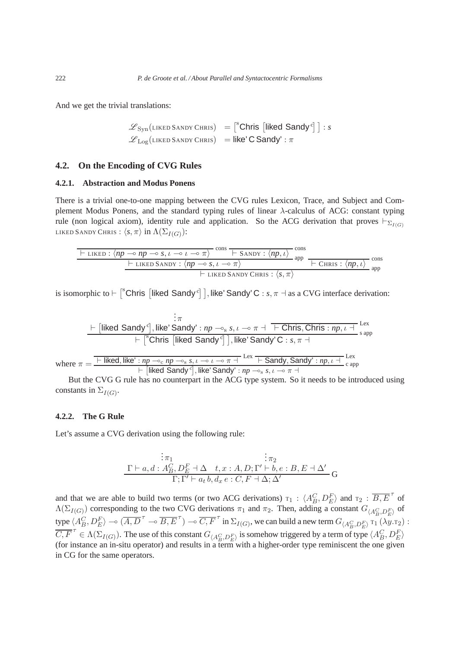And we get the trivial translations:

$$
\mathcal{L}_{Syn}(\text{liked SANDY CHRIS}) = \begin{bmatrix} {^{8}} \text{Chris} & \text{[likelihood Sandy} \, {^{6}} \end{bmatrix} : s
$$
\n
$$
\mathcal{L}_{Log}(\text{LIKED SANDY CHRIS}) = \text{like' C Sandy'} : \pi
$$

## **4.2. On the Encoding of CVG Rules**

#### **4.2.1. Abstraction and Modus Ponens**

There is a trivial one-to-one mapping between the CVG rules Lexicon, Trace, and Subject and Complement Modus Ponens, and the standard typing rules of linear  $\lambda$ -calculus of ACG: constant typing rule (non logical axiom), identity rule and application. So the ACG derivation that proves  $\vdash_{\Sigma_{I(G)}}$ LIKED SANDY CHRIS :  $\langle s, \pi \rangle$  in  $\Lambda(\Sigma_{I(G)})$ :

$$
\frac{\leftarrow \text{LIKED}: \langle np \multimap np \multimap s, \iota \multimap \iota \multimap \pi \rangle \cdot \text{cons} \cdot \leftarrow \text{SANDY}: \langle np, \iota \rangle \cdot \text{cons}}{\leftarrow \text{LIKED SANDY}: \langle np \multimap s, \iota \multimap \pi \rangle \cdot \leftarrow \text{LIKED SANDY}: \langle np, \iota \rangle \cdot \text{cons} \cdot \leftarrow \text{CIRIS}: \langle np, \iota \rangle \cdot \text{cons} \cdot \leftarrow \text{INED} \cdot \text{SANDY}: \langle np, \iota \rangle \cdot \text{cons} \cdot \leftarrow \text{INED} \cdot \text{SANDY}: \langle s, \pi \rangle \cdot \leftarrow \text{INED} \cdot \text{SANDY}: \langle s, \pi \rangle \cdot \leftarrow \text{INED} \cdot \text{SANDY}: \langle s, \pi \rangle \cdot \leftarrow \text{INED} \cdot \text{SANDY}: \langle s, \pi \rangle \cdot \leftarrow \text{INED} \cdot \text{SANDY}: \langle s, \pi \rangle \cdot \leftarrow \text{INED} \cdot \text{SANDY}: \langle s, \pi \rangle \cdot \leftarrow \text{INED} \cdot \text{SANDY}: \langle s, \pi \rangle \cdot \leftarrow \text{INED} \cdot \text{SANDY}: \langle s, \pi \rangle \cdot \leftarrow \text{INED} \cdot \text{SANDY}: \langle s, \pi \rangle \cdot \leftarrow \text{INED} \cdot \text{SANDY}: \langle s, \pi \rangle \cdot \leftarrow \text{INED} \cdot \text{SANDY}: \langle s, \pi \rangle \cdot \leftarrow \text{INED} \cdot \text{SNDY}: \langle s, \pi \rangle \cdot \leftarrow \text{INED} \cdot \text{SNDY}: \langle s, \pi \rangle \cdot \leftarrow \text{INED} \cdot \text{SNDY}: \langle s, \pi \rangle \cdot \leftarrow \text{INED} \cdot \text{SNDY}: \langle s, \pi \rangle \cdot \leftarrow \text{INED} \cdot \text{SNDY}: \langle s, \pi \rangle \cdot \leftarrow \text{INED} \cdot \text{SNDY}: \langle s, \pi \rangle \cdot \leftarrow \text{INED} \cdot \text{SNDY}: \langle s, \pi \rangle \cdot \leftarrow \text{INED} \cdot \text{SNDY}: \langle s, \pi \rangle \cdot \leftarrow \text
$$

is isomorphic to  $\vdash \lceil^s$ Chris  $\lceil$ liked Sandy <sup>c</sup> $\rceil$ , like' Sandy' C : *s*,  $\pi \dashv$  as a CVG interface derivation:

$$
\frac{\vdots \pi}{\vdots}
$$
\n
$$
\frac{\vdots \pi}{\vdots}
$$
\n
$$
\frac{\vdots \pi}{\vdots}
$$
\n
$$
\frac{\vdots \pi}{\vdots}
$$
\n
$$
\frac{\vdots \pi}{\vdots}
$$
\n
$$
\frac{\vdots \pi}{\vdots}
$$
\n
$$
\frac{\vdots \pi}{\vdots}
$$
\n
$$
\frac{\vdots \pi}{\vdots}
$$
\n
$$
\frac{\vdots \pi}{\vdots}
$$
\n
$$
\frac{\vdots \pi}{\vdots}
$$
\n
$$
\frac{\vdots \pi}{\vdots}
$$
\n
$$
\frac{\vdots \pi}{\vdots}
$$
\n
$$
\frac{\vdots \pi}{\vdots}
$$
\n
$$
\frac{\vdots \pi}{\vdots}
$$
\n
$$
\frac{\vdots \pi}{\vdots}
$$
\n
$$
\frac{\vdots \pi}{\vdots}
$$
\n
$$
\frac{\vdots \pi}{\vdots}
$$
\n
$$
\frac{\pi}{\vdots}
$$
\n
$$
\frac{\pi}{\vdots}
$$
\n
$$
\frac{\pi}{\vdots}
$$
\n
$$
\frac{\pi}{\vdots}
$$
\n
$$
\frac{\pi}{\vdots}
$$
\n
$$
\frac{\pi}{\vdots}
$$
\n
$$
\frac{\pi}{\vdots}
$$
\n
$$
\frac{\pi}{\vdots}
$$
\n
$$
\frac{\pi}{\vdots}
$$
\n
$$
\frac{\pi}{\vdots}
$$
\n
$$
\frac{\pi}{\vdots}
$$
\n
$$
\frac{\pi}{\vdots}
$$
\n
$$
\frac{\pi}{\vdots}
$$
\n
$$
\frac{\pi}{\vdots}
$$
\n
$$
\frac{\pi}{\vdots}
$$
\n
$$
\frac{\pi}{\vdots}
$$
\n
$$
\frac{\pi}{\vdots}
$$
\n
$$
\frac{\pi}{\vdots}
$$
\n
$$
\frac{\pi}{\vdots}
$$
\n
$$
\frac{\pi}{\vdots}
$$
\n
$$
\frac{\pi}{\vdots}
$$
\n
$$
\frac{\pi}{\vdots}
$$
\n
$$
\frac{\pi}{\vdots}
$$
\n
$$
\frac{\pi}{\vdots}
$$
\n
$$
\frac{\pi}{\vdots}
$$
\n

But the CVG G rule has no counterpart in the ACG type system. So it needs to be introduced using constants in  $\Sigma_{I(G)}$ .

#### **4.2.2. The G Rule**

Let's assume a CVG derivation using the following rule:

$$
\begin{array}{cccc}\n&\vdots & \pi_1 & & \vdots & \pi_2 \\
\Gamma \vdash a, d: A_B^C, D_E^F \dashv \Delta & t, x:A, D; \Gamma' \vdash b, e:B, E \dashv \Delta' \\
&\Gamma; \Gamma' \vdash a_t b, d_x e:C, F \dashv \Delta; \Delta'\n\end{array}
$$
G

and that we are able to build two terms (or two ACG derivations)  $\tau_1$  :  $\langle A_B^C, D_E^F \rangle$  and  $\tau_2$  :  $\overline{B, E}^\tau$  of  $\Lambda(\Sigma_{I(G)})$  corresponding to the two CVG derivations  $\pi_1$  and  $\pi_2$ . Then, adding a constant  $G_{\langle A_B^C, D_E^F \rangle}$  of type  $\langle A_B^C, D_E^F \rangle \to (\overline{A}, \overline{D}^T \to \overline{B}, \overline{E}^T) \to \overline{C}, \overline{F}^T$  in  $\Sigma_{I(G)}$ , we can build a new term  $G_{\langle A_B^C, D_E^F \rangle}$   $T_1(\lambda y.T_2)$ :  $\overline{C, F}^{\tau} \in \Lambda(\Sigma_{I(G)})$ . The use of this constant  $G_{\langle A_B^C, D_E^F \rangle}$  is somehow triggered by a term of type  $\langle A_B^C, D_E^F \rangle$ (for instance an in-situ operator) and results in a term with a higher-order type reminiscent the one given in CG for the same operators.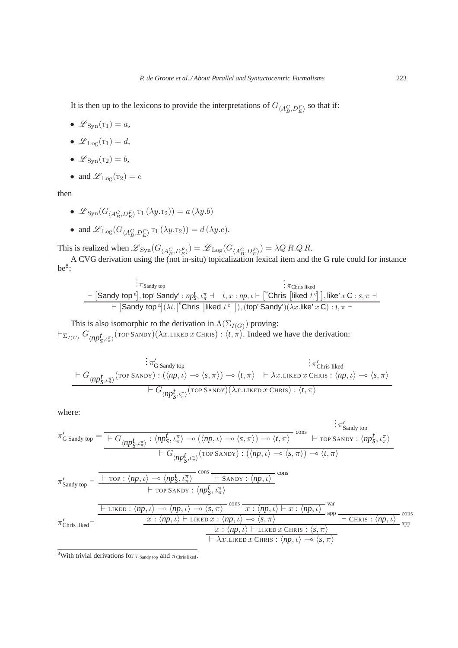It is then up to the lexicons to provide the interpretations of  $G_{\langle A_B^C, D_E^F \rangle}$  so that if:

- $\mathscr{L}_{\text{Swn}}(\mathsf{T}_1) = a$ ,
- $\mathscr{L}_{\text{Log}}(\tau_1) = d$ ,
- $\mathscr{L}_{\text{Swn}}(\mathsf{T}_2) = b$ ,
- and  $\mathscr{L}_{\text{Log}}(\mathbf{r}_2) = e$

then

- $\mathscr{L}_{\text{Syn}}(G_{\langle A_B^C, D_E^F \rangle} \tau_1(\lambda y.\tau_2)) = a(\lambda y.b)$
- and  $\mathscr{L}_{\text{Log}}(G_{\langle A_B^C, D_E^F \rangle} \tau_1(\lambda y.\tau_2)) = d(\lambda y.e).$

This is realized when  $\mathscr{L}_{\text{Syn}}(G_{\langle A_B^C, D_E^F \rangle}) = \mathscr{L}_{\text{Log}}(G_{\langle A_B^C, D_E^F \rangle}) = \lambda Q R.Q.R.$ 

A CVG derivation using the (not in-situ) topicalization lexical item and the G rule could for instance  $be^8$ :

$$
\begin{array}{c}\n\vdots \pi_{\text{Sandy top}} \\
\hline\n\vdots \pi_{\text{Chris liked}} \\
\hline\n\vdots \pi_{\text{Chris liked}} \\
\hline\n\vdots \pi_{\text{Chris liked}} \\
\hline\n\vdots \pi_{\text{Chris likely}} \\
\hline\n\vdots \pi_{\text{Chris} \text{blue}}\n\end{array}
$$

This is also isomorphic to the derivation in  $\Lambda(\Sigma_{I(G)})$  proving:

 $\vdash_{\Sigma_{I(G)}} G_{\langle np^{\mathbf{f}}_{S},\iota_{\pi}^{\pi}\rangle}(\text{top} \text{SANDY})(\lambda x.\text{LIKED } x \text{ CHRIS}) : \langle t,\pi \rangle.$  Indeed we have the derivation:

$$
\begin{array}{c}\n\vdots \pi'_{\operatorname{G\,Sandy\,top}} \\
\vdots \pi'_{\operatorname{Chris\,likelihood}} \\
\vdots \pi'_{\operatorname{Chris\,likelihood}} \\
\vdots \pi'_{\operatorname{Chris\,likelihood}} \\
\vdots \pi'_{\operatorname{Chris\,likelihood}} \\
\vdots \pi'_{\operatorname{Chris\,likelihood}} \\
\vdots \pi'_{\operatorname{Chris\,likelihood}} \\
\vdots \pi'_{\operatorname{Chris\,likelihood}} \\
\vdots \pi'_{\operatorname{Chris\,likelihood}} \\
\vdots \pi'_{\operatorname{Chris\,likelihood}} \\
\vdots \pi'_{\operatorname{Chris\,likelihood}} \\
\vdots \pi'_{\operatorname{Chris\,likelihood}} \\
\vdots \pi'_{\operatorname{Chris\,likelihood}} \\
\vdots \pi'_{\operatorname{Chris\,likelihood}} \\
\vdots \pi'_{\operatorname{Chris\,likelihood}} \\
\vdots \pi'_{\operatorname{Chris\,likelihood}} \\
\vdots \pi'_{\operatorname{Chris\,likelihood}} \\
\vdots \pi'_{\operatorname{Chris\,{{\mathcal{O}}}} \\
\vdots \pi'_{\operatorname{Chris\,{{\mathcal{O}}}} \\
\vdots \pi'_{\operatorname{Chris\,{{\mathcal{O}}}} \\
\vdots \pi'_{\operatorname{Chris\,{{\mathcal{O}}}} \\
\vdots \pi'_{\operatorname{Chris\,{{\mathcal{O}}}} \\
\vdots \pi'_{\operatorname{Chris\,{{\mathcal{O}}}} \\
\vdots \pi'_{\operatorname{Chris\,{{\mathcal{O}}}} \\
\vdots \pi'_{\operatorname{Chris\,{{\mathcal{O}}}} \\
\vdots \pi'_{\operatorname{Chris\,{{\mathcal{O}}}} \\
\vdots \pi'_{\operatorname{Chris\,{{\mathcal{O}}}} \\
\vdots \pi'_{\operatorname{Chris\,{{\mathcal{O}}}} \\
\vdots \pi'_{\operatorname{Chris\,{{\mathcal{O}}}} \\
\vdots \pi'_{\operatorname{Chris\,{{\mathcal{O}}}} \\
\vdots \pi'_{\operatorname{Chris\,{{\mathcal{O}}}} \\
\vdots \pi'_{\operatorname{Chris\,{{\mathcal{O}}}} \\
\vdots \pi'_{\operatorname{Chris\,{{\mathcal{O}}}} \\
\vdots \pi'_{\operatorname{Chris\,{{\mathcal{O}}}} \\
\vdots \pi'_{\operatorname{Chris\,{{\mathcal{O}}}} \\
\vdots \pi'_{\operatorname{
$$

.

where:

$$
\pi'_{\text{Sandy top}} = \frac{\begin{array}{c}\n\vdots \pi'_{\text{Sandy top}} \\
\hline\n\end{array}}{\begin{array}{c}\n\pi'_{\text{S,} \iota_{\pi}^{\pi}\n\end{array}} \cdot \langle np_{\mathcal{S}, \iota_{\pi}^{\pi}} \rangle \rightarrow (\langle np, \iota \rangle \rightarrow \langle \mathbf{s}, \pi \rangle) \rightarrow \langle \mathbf{t}, \pi \rangle \quad \text{cons} \\
\hline\n\end{array}} \cdot \frac{\begin{array}{c}\n\vdots \pi'_{\text{Sandy top}} \\
\hline\n\end{array}}{\begin{array}{c}\n\pi'_{\text{Sandy top}} \\
\hline\n\end{array}} = \frac{\begin{array}{c}\n\vdots \pi'_{\text{Sandy top}} \\
\hline\n\end{array}}{\begin{array}{c}\n\vdots \pi'_{\text{S,} \iota_{\pi}^{\pi}\n\end{array}} \cdot \langle np_{\mathcal{S}, \iota_{\pi}^{\pi}} \rangle \quad \text{cons} \\
\hline\n\end{array}}{\begin{array}{c}\n\vdots \pi'_{\text{S,} \iota_{\pi}^{\pi}\n\end{array}} \cdot \frac{\begin{array}{c}\n\vdots \pi'_{\text{S,} \iota_{\pi}^{\pi}\n\end{array}}{\begin{array}{c}\n\vdots \pi'_{\text{S,} \iota_{\pi}^{\pi}\n\end{array}} \cdot \frac{\begin{array}{c}\n\vdots \pi'_{\text{S,} \iota_{\pi}^{\pi}\n\end{array}}{\begin{array}{c}\n\vdots \pi'_{\text{S,} \iota_{\pi}^{\pi}\n\end{array}} \cdot \frac{\begin{array}{c}\n\vdots \pi'_{\text{S,} \iota_{\pi}^{\pi}\n\end{array}}{\begin{array}{c}\n\vdots \pi'_{\text{S,} \iota_{\pi}^{\pi}\n\end{array}} \cdot \frac{\begin{array}{c}\n\vdots \pi'_{\text{S,} \iota_{\pi}^{\pi}\n\end{array}}{\begin{array}{c}\n\vdots \pi'_{\text{S,} \iota_{\pi}^{\pi}\n\end{array}} \cdot \frac{\begin{array}{c}\n\vdots \pi'_{\text{S,} \iota_{\pi}^{\pi}\n\end{array}}{\begin{array}{c}\n\vdots \pi'_{\text{
$$

<sup>8</sup>With trivial derivations for  $\pi_{Sandy~top}$  and  $\pi_{Chris~likelihood}$ .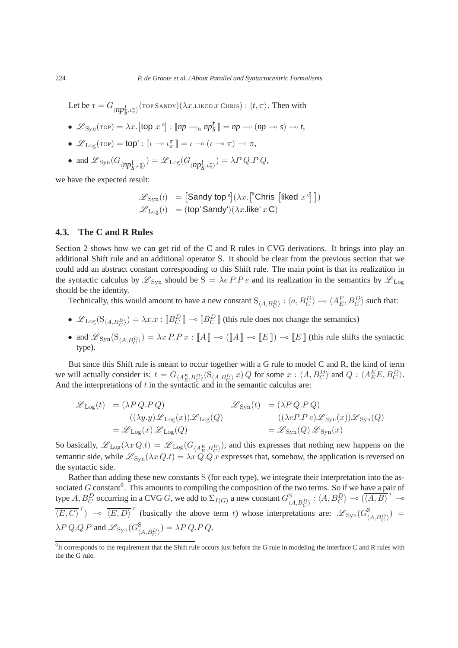Let be  $\text{\rm tr}=G_{\langle np_{S}^t, \iota_\pi^\pi\rangle}(\text{\rm torp}$  Sandy) $(\lambda x.$ Liked  $x$  Chris) :  $\langle t, \pi\rangle$ . Then with

- $\mathscr{L}_{\text{Syn}}(\text{top}) = \lambda x \cdot [\text{top } x^{\text{a}}] : [\text{np} \multimap_{\text{a}} \text{np}_S^t] = \text{np} \multimap (\text{np} \multimap s) \multimap t,$
- $\mathscr{L}_{\text{Log}}(\text{top}) = \text{top'} : \llbracket \iota \iota \frac{\pi}{\pi} \rrbracket = \iota \circ (\iota \circ \pi) \circ \pi$ ,
- and  $\mathscr{L}_{\text{Syn}}(G_{\langle np^{\mathbf{f}}_{\mathbf{S}},\iota_{\pi}^{\pi}\rangle}) = \mathscr{L}_{\text{Log}}(G_{\langle np^{\mathbf{f}}_{\mathbf{S}},\iota_{\pi}^{\pi}\rangle}) = \lambda P Q.P.Q,$

we have the expected result:

$$
\mathcal{L}_{\text{Syn}}(t) = [\text{Sandy top}^{\text{a}}] (\lambda x. [{}^{\text{s}} \text{Chris} [{\text{liked}} \ x^{\text{c}}])
$$

$$
\mathcal{L}_{\text{Log}}(t) = (\text{top}' \text{Sandy}') (\lambda x. {\text{like}}' \ x \ \text{C})
$$

### **4.3. The C and R Rules**

Section 2 shows how we can get rid of the C and R rules in CVG derivations. It brings into play an additional Shift rule and an additional operator S. It should be clear from the previous section that we could add an abstract constant corresponding to this Shift rule. The main point is that its realization in the syntactic calculus by  $\mathscr{L}_{\text{Syn}}$  should be  $S = \lambda e P.P e$  and its realization in the semantics by  $\mathscr{L}_{\text{Log}}$ should be the identity.

Technically, this would amount to have a new constant  $S_{(A,B_C^D)}$ :  $\langle a, B_C^D \rangle \to \langle A_E^E, B_C^D \rangle$  such that:

- $\mathscr{L}_{\text{Log}}(S_{\langle A, B_C^D \rangle}) = \lambda x . x : [B_C^D] \rightarrow [B_C^D]$  (this rule does not change the semantics)
- and  $\mathscr{L}_{\text{Syn}}(\mathcal{S}_{\langle A, B_C^D \rangle}) = \lambda x P.P x : \llbracket A \rrbracket \multimap (\llbracket A \rrbracket \multimap \llbracket E \rrbracket) \multimap \llbracket E \rrbracket$  (this rule shifts the syntactic type).

But since this Shift rule is meant to occur together with a G rule to model C and R, the kind of term we will actually consider is:  $t = G_{\langle A_E, B_C \rangle}(\mathcal{S}_{\langle A, B_C \rangle} x) Q$  for some  $x : \langle A, B_C^D \rangle$  and  $Q : \langle A_E^E E, B_C^D \rangle$ . And the interpretations of  $t$  in the syntactic and in the semantic calculus are:

$$
\mathcal{L}_{\text{Log}}(t) = (\lambda P Q.P Q) \qquad \mathcal{L}_{\text{Sym}}(t) = (\lambda P Q.P Q) \n((\lambda y. y) \mathcal{L}_{\text{Log}}(x)) \mathcal{L}_{\text{Log}}(Q) \qquad ((\lambda e P.P e) \mathcal{L}_{\text{Syn}}(x)) \mathcal{L}_{\text{Syn}}(Q) \n= \mathcal{L}_{\text{Log}}(x) \mathcal{L}_{\text{Log}}(Q) \qquad \qquad = \mathcal{L}_{\text{Syn}}(Q) \mathcal{L}_{\text{Syn}}(x)
$$

So basically,  $\mathscr{L}_{\text{Log}}(\lambda x Q.t) = \mathscr{L}_{\text{Log}}(G_{\langle A_E^E, B_C^D \rangle})$ , and this expresses that nothing new happens on the semantic side, while  $\mathscr{L}_{Syn}(\lambda x Q.t) = \lambda x Q.Q.x$  expresses that, somehow, the application is reversed on the syntactic side.

Rather than adding these new constants S (for each type), we integrate their interpretation into the associated  $G$  constant<sup>9</sup>. This amounts to compiling the composition of the two terms. So if we have a pair of type A,  $B_C^D$  occurring in a CVG G, we add to  $\Sigma_{I(G)}$  a new constant  $G_{\langle A, B_C^D \rangle}^S$ :  $\langle A, B_C^D \rangle \to (\overline{\langle A, B \rangle}^T \to \overline{\langle A, B \rangle}^T)$  $\overline{\langle E, C \rangle}^{\tau}$   $\rightarrow$   $\overline{\langle E, D \rangle}^{\tau}$  (basically the above term t) whose interpretations are:  $\mathscr{L}_{\text{Syn}}(G_{\langle A, B_{C}^{D} \rangle}^{\mathcal{S}})$  =  $\lambda P \, Q.Q \, P$  and  $\mathscr{L}_{\text{Syn}}(G_{\langle A,B^D_C \rangle}^{\text{S}}) = \lambda P \, Q.P \, Q.$ 

 $9$ It corresponds to the requirement that the Shift rule occurs just before the G rule in modeling the interface C and R rules with the the G rule.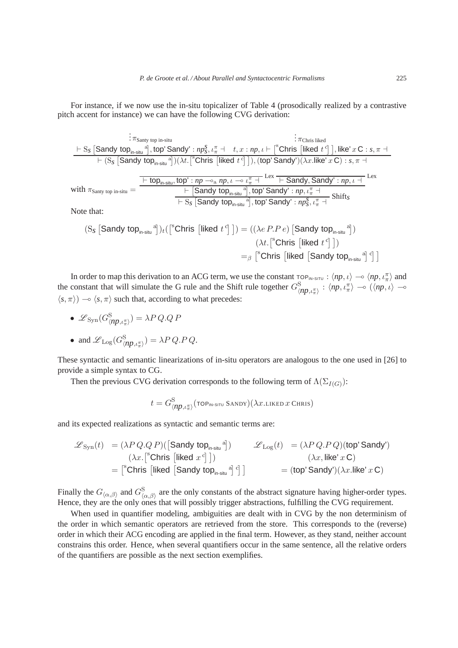For instance, if we now use the in-situ topicalizer of Table 4 (prosodically realized by a contrastive pitch accent for instance) we can have the following CVG derivation:

$$
\begin{aligned}\n&\vdots \pi_{\text{Santy top in-situ}} \\
&\quad \frac{\vdash S_{\mathcal{S}} \left[\text{Sandy top}_{\text{in-situ}}^{a}\right],\text{top}'\text{Sandy'}:np_{\mathcal{S}}^{s},\iota_{\pi}^{\pi}\; +\; t, x: np, \iota \vdash \left[^{s}\text{Chris }\left[\text{liked } t^{\text{c}}\right]\right],\text{like'}\; x\; \mathbf{C}:s,\pi \to\\
&\quad \quad \vdash (S_{\mathcal{S}} \left[\text{Sandy top}_{\text{in-situ}}^{a}\right]) (\lambda t.\left[^{s}\text{Chris }\left[\text{liked } t^{\text{c}}\right]\right]),(\text{top'}\text{Sandy'}) (\lambda x.\text{like'}\; x\; \mathbf{C}):s,\pi \to\\
&\quad \quad \frac{\vdash \text{top}_{\text{in-situ}},\text{top'}:np \multimap_a np, \iota \multimap \iota_{\pi}^{\pi}\; +\; \text{Lex }\left[\text{Sandy},\text{Sandy'}:np, \iota \to\\
&\quad \quad \vdash \left[\text{Sandy top}_{\text{in-situ}}^{a}\right],\text{top'}\text{Sandy'}:np, \iota_{\pi}^{\pi}\; +\right]}{\left[\text{Sandy top}_{\text{in-situ}}^{a}\right],\text{top'}\text{Sandy'}:np_{\mathcal{S}}, \iota_{\pi}^{\pi}\; +\right]}\text{Shift}_{\mathcal{S}} \\
&\quad \quad \text{Note that:}\n\end{aligned}
$$

$$
(S_{\mathcal{S}}\left[\text{Sandy top}_{\text{in-situ}}^{a}\right])_{t}\left(\left[\text{^{8}Chris}\left[\text{liked } t^{c}\right]\right]\right) = ((\lambda e P.P e) \left[\text{Sandy top}_{\text{in-situ}}^{a}\right])
$$
\n
$$
(\lambda t \cdot \left[\text{^{8}Chris}\left[\text{liked } t^{c}\right]\right])
$$
\n
$$
=_{\beta} \left[\text{^{8}Chris}\left[\text{liked}\left[\text{Sandy top}_{\text{in-situ}}^{a}\right]c\right]\right]
$$

In order to map this derivation to an ACG term, we use the constant  $\tau_{\Omega}P_{IN-SITU}$  :  $\langle np, \iota \rangle \to \langle np, \iota \pi \rangle$  and the constant that will simulate the G rule and the Shift rule together  $G_{\langle np,\iota_n^{\pi}\rangle}^{\mathcal{S}}$  :  $\langle np,\iota_n^{\pi}\rangle$   $\sim$   $(\langle np,\iota \rangle$   $\sim$  $\langle s, \pi \rangle$  →  $\langle s, \pi \rangle$  such that, according to what precedes:

• 
$$
\mathscr{L}_{\text{Syn}}(G_{\langle np,\iota_n^{\pi}\rangle}^{\mathcal{S}}) = \lambda P Q.Q P
$$

• and 
$$
\mathcal{L}_{\text{Log}}(G_{\langle np,\iota_{\pi}^{\pi}\rangle}^{\mathcal{S}}) = \lambda P Q.P.Q.
$$

These syntactic and semantic linearizations of in-situ operators are analogous to the one used in [26] to provide a simple syntax to CG.

Then the previous CVG derivation corresponds to the following term of  $\Lambda(\Sigma_{I(G)})$ :

$$
t = G_{\langle \text{np}, \iota_\pi^\pi \rangle}^\mathrm{S}(\text{top}_{\text{in-situ}} \, \text{Sandy})(\lambda x.\text{liked } x \, \text{Chris})
$$

and its expected realizations as syntactic and semantic terms are:

$$
\begin{array}{ll}\mathscr{L}_{\text{Syn}}(t)&=\displaystyle (\lambda P\,Q.Q\,P)(\big[\text{Sandy top}_{\text{in-situ}}^{\text{a}}\big]\big) & \mathscr{L}_{\text{Log}}(t)&=\displaystyle (\lambda P\,Q.P\,Q)(\text{top}'\,\text{Sandy}')\\&\displaystyle (\lambda x.\big[\text{``Christ }\big[\text{liked}\ {x}^c\big]\,\big]) & \displaystyle (\lambda x,\text{like'}\ {x}\,C)\\&=\big[\text{``Christ }\big[\text{liked}\ \big[\text{Sandy top}_{\text{in-situ}}^{\text{a}}\big]\,\big]^c\big]\bigg)&=\displaystyle (\text{top}'\,\text{Sandy}')(\lambda x.\text{like'}\ {x}\,C) \end{array}
$$

Finally the  $G_{\langle\alpha,\beta\rangle}$  and  $G_{\langle\alpha,\beta\rangle}^{\rm S}$  $\mathcal{L}_{\langle \alpha,\beta \rangle}^{\mathcal{S}}$  are the only constants of the abstract signature having higher-order types. Hence, they are the only ones that will possibly trigger abstractions, fulfilling the CVG requirement.

When used in quantifier modeling, ambiguities are dealt with in CVG by the non determinism of the order in which semantic operators are retrieved from the store. This corresponds to the (reverse) order in which their ACG encoding are applied in the final term. However, as they stand, neither account constrains this order. Hence, when several quantifiers occur in the same sentence, all the relative orders of the quantifiers are possible as the next section exemplifies.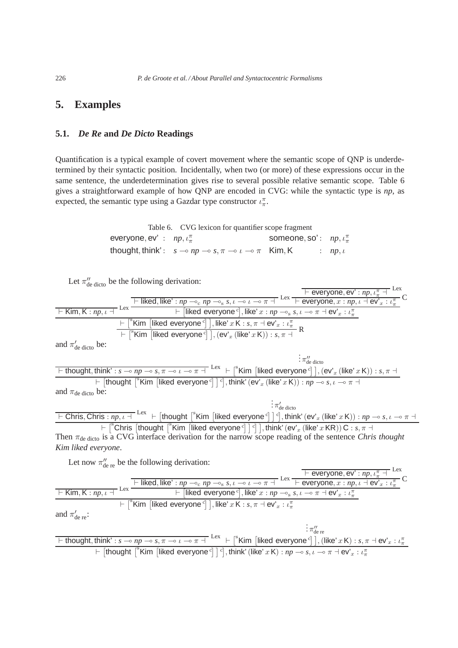# **5. Examples**

### **5.1.** *De Re* **and** *De Dicto* **Readings**

Quantification is a typical example of covert movement where the semantic scope of QNP is underdetermined by their syntactic position. Incidentally, when two (or more) of these expressions occur in the same sentence, the underdetermination gives rise to several possible relative semantic scope. Table 6 gives a straightforward example of how QNP are encoded in CVG: while the syntactic type is *np*, as expected, the semantic type using a Gazdar type constructor  $\iota_{\pi}^{\pi}$ .

> Table 6. CVG lexicon for quantifier scope fragment everyone, ev' :  $np, \iota_{\pi}^{\pi}$ someone, so':  $np, \iota_{\pi}^{\pi}$ thought, think':  $s \to np \to s, \pi \to \iota \to \pi$  Kim, K :  $np, \iota$

| Let $\pi''_{\text{de dicto}}$ be the following derivation:                                                                                                                                                                                                                                                                                     |
|------------------------------------------------------------------------------------------------------------------------------------------------------------------------------------------------------------------------------------------------------------------------------------------------------------------------------------------------|
|                                                                                                                                                                                                                                                                                                                                                |
|                                                                                                                                                                                                                                                                                                                                                |
| <b>Example 18 F</b> Everyone, ev' : np, $\iota_{\pi}^{\pi}$ Lex<br>F Kim, K : np, $\iota$ + Lex<br>Example 2 Lex<br>F Liked, like' $\iota$ np $\multimap$ np $\multimap$ s, $\iota \multimap$ n $\vdash$ Lex<br>F Liked everyone $\circ$ , like' $x : np \multimap$ s, $\iota \multimap$ n $\vdash$ e                                          |
| $\frac{1}{1+\lceil^8 \text{Kim }\rceil}$ [liked everyone <sup>c</sup> ] ], like' x K : s, $\pi \dashv \text{ev}'_x : \iota^{\pi}_x$<br>$\frac{1}{1+\lceil^8 \text{Kim }\rceil}$ [liked everyone <sup>c</sup> ] ], (ev' <sub>x</sub> (like' x K)) : s, $\pi \dashv R$                                                                           |
|                                                                                                                                                                                                                                                                                                                                                |
| and $\pi'_{\text{de dicto}}$ be:                                                                                                                                                                                                                                                                                                               |
| $\frac{1}{2} \pi_{\text{de dicto}}^{\prime\prime}$                                                                                                                                                                                                                                                                                             |
| <u>Fithought, think': s → np → s, <math>\pi</math> → i → <math>\pi</math> + Lex + [<sup>s</sup>Kim [liked everyone<sup>c</sup>]], (ev'<sub>x</sub> (like' x K)) : s, <math>\pi</math> + <br/>+ [thought [<sup>s</sup>Kim [liked everyone<sup>c</sup>]]<sup>c</sup>], think' (ev'<sub>x</sub> (like' x K)) : np → s, i → <math>\pi</math> +</u> |
|                                                                                                                                                                                                                                                                                                                                                |
| and $\pi_{\text{de dicto}}$ be:                                                                                                                                                                                                                                                                                                                |
| $\frac{1}{2}\pi_{\text{de dicto}}^{\prime}$                                                                                                                                                                                                                                                                                                    |
| $\overline{+$ Chris, Chris: $np, \iota$ + $\overline{+}$ Lex $\overline{+}$ [thought $\overline{+}$ Kim [liked everyone $\overline{c}$ ] $\overline{c}$ ], think' (ev' <sub>x</sub> (like' x K)) : $np \to s, \iota \to \pi$ +                                                                                                                 |
| $\vdash \lceil^s$ Chris $\lceil th$ ought $\lceil^s$ Kim $\lceil$ liked everyone <sup>c</sup> $\rceil$ $\lceil$ $\lceil$ , think' (ev' <sub>x</sub> (like' x KR)) C : s, $\pi$ $\dashv$                                                                                                                                                        |
| Then $\pi_{\text{de dicto}}$ is a CVG interface derivation for the narrow scope reading of the sentence <i>Chris thought</i>                                                                                                                                                                                                                   |
| Kim liked everyone.                                                                                                                                                                                                                                                                                                                            |
| Let now $\pi''_{\text{de re}}$ be the following derivation:                                                                                                                                                                                                                                                                                    |
|                                                                                                                                                                                                                                                                                                                                                |
| $\frac{\overline{}}{\sqrt{1-\text{tiked}}},\text{like'}: np \rightarrow_{\text{c}} np \rightarrow_{\text{s}} s, \iota \rightarrow \iota \rightarrow \pi + \text{Lex}\xrightarrow{\overline{1-\text{everyone}}}, x : np, \iota \rightarrow \text{ev}^*, \iota \rightarrow \tau$                                                                 |
| $\frac{1}{1 + \text{Kim}, \text{K}: np, \iota + \text{lex}}$ Lex $\frac{1}{1 + \text{[likelihood everywhere]}, \text{like } x : np \rightarrow_{\text{s}} s, \iota \rightarrow \pi + \text{ev}'_x : \iota^{\pi}_x}$                                                                                                                            |
| $\overline{a} \vdash \overline{a}^s$ Kim [liked everyone <sup>c</sup> ], like' x K : s, $\pi \dashv \text{ev}_x : L^{\pi}_x$                                                                                                                                                                                                                   |
|                                                                                                                                                                                                                                                                                                                                                |
| and $\pi'_{\text{de re}}$ :                                                                                                                                                                                                                                                                                                                    |
| $\frac{1}{2}$ $\pi_{\text{de re}}^{\prime\prime}$                                                                                                                                                                                                                                                                                              |
| $\boxed{\vdash \text{thought}, \text{think'} : s \multimap np \multimap s, \pi \multimap t \multimap \pi \dashv \text{ } }$ Lex $\vdash \text{ } \mid^s$ Kim [liked everyone $\text{ }^c$ ], (like' $x \mathsf{K}$ ) : $s, \pi \dashv \text{ev}'_x : \iota^{\pi}_x$                                                                            |

 $\vdash$  [thought  $\left[\begin{array}{c}\n\overline{\text{Kim}} \\
\overline{\text{Kim}}\n\end{array}\right]\left[\begin{array}{c}\text{like}\end{array}\right]$   $\left[\begin{array}{c}\text{in } \\ \text{in } \\ \text{Kic}\n\end{array}\right]$  (like' x K) :  $np \rightarrow s, \iota \rightarrow \pi + \text{ev}_x : \iota_\pi^T$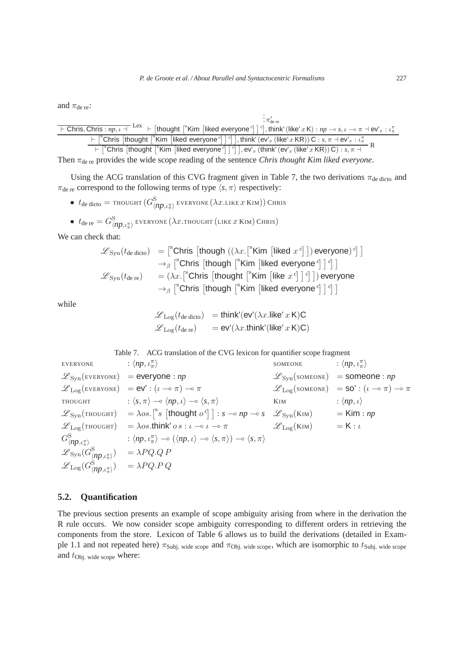and  $\pi_{\text{de re}}$ :

 $\vdash$  Chris, Chris :  $np, \iota$  + :  $\pi'_{\text{de re}}$  $\vdash$  [thought  $\lceil$ <sup>s</sup> Kim [liked everyone<sup>c</sup>]  $\rceil$ <sup>c</sup>], think' (like' x K) :  $np \multimap s, \iota \multimap \pi \dashv \textsf{ev}'_x : \iota_\pi^{\pi}$  $\begin{aligned} \left. + \left[ \right. ^{\mathsf{s}}\mathsf{Chris} \left[ \mathsf{thought} \left[ \right. ^{\mathsf{s}}\mathsf{Kim} \left[ \mathsf{liked} \mathsf{ everyone} \right. ^{\mathsf{c}} \right] \right] \right], \mathsf{think}'\left( \mathsf{ev}'_x \left( \mathsf{like}' x \, \mathsf{KR} \right) \right) \mathsf{C} : s, \pi \dashv \mathsf{ev}'_x : \iota^{\pi}_x \\ \left. + \left[ \right. ^{\mathsf{s}}\mathsf{Chris} \left[ \mathsf{thought} \left[ \right. ^{\mathsf{s}}\mathsf{Kim} \left[ \mathsf{$ 

Then  $\pi_{\text{de re}}$  provides the wide scope reading of the sentence *Chris thought Kim liked everyone*.

Using the ACG translation of this CVG fragment given in Table 7, the two derivations  $\pi_{de\,dicto}$  and  $\pi_{\text{de re}}$  correspond to the following terms of type  $\langle s, \pi \rangle$  respectively:

 $\bullet$   $t_{\rm de\,dicto} =$  thought  $(G_{\langle np,\iota_{\pi}^{\pi}\rangle}^{\rm S}$  everyone  $(\lambda x.$ Like  $x$  Kim)) Chris

• 
$$
t_{\text{de re}} = G^{\text{S}}_{\langle np, \iota^{\pi}_\pi \rangle}
$$
 everywhere ( $\lambda x$ .  
thought (like x Kin) Chris)

We can check that:

$$
\mathcal{L}_{\text{Syn}}(t_{\text{de dicto}}) = \begin{bmatrix} ^{\text{s}} \text{Chris} \left[ \text{though } ((\lambda x. [ ^{\text{s}} \text{Kim} \left[ \text{ liked } x^{\text{c}} \right] \right) \text{ everywhere})^{\text{c}} \right] \\ \rightarrow_{\beta} [ ^{\text{s}} \text{Chris} \left[ \text{though } [ ^{\text{s}} \text{Kim} \left[ \text{ liked everyone}^{\text{c}} \right] \right]^{\text{c}} \right] \\ \mathcal{L}_{\text{Syn}}(t_{\text{de re}}) = (\lambda x. [ ^{\text{s}} \text{Chris} \left[ \text{though } [ ^{\text{s}} \text{Kim} \left[ \text{like } x^{\text{c}} \right] \right]^{\text{c}} \right] \text{) everyone} \\ \rightarrow_{\beta} [ ^{\text{s}} \text{Chris} \left[ \text{though } [ ^{\text{s}} \text{Kim} \left[ \text{like everywhere}^{\text{c}} \right] \right]^{\text{c}} \right]
$$

while

$$
\mathcal{L}_{\text{Log}}(t_{\text{de dicto}}) = \text{think}'(\text{ev}'(\lambda x.\text{like}' x \text{ K})\text{C})
$$

$$
\mathcal{L}_{\text{Log}}(t_{\text{de re}}) = \text{ev}'(\lambda x.\text{think}'(\text{like}' x \text{ K})\text{C})
$$

| Table 7. ACG translation of the CVG lexicon for quantifier scope fragment                                            |                                                                                                                                                                                                |                                              |                                                                                               |  |
|----------------------------------------------------------------------------------------------------------------------|------------------------------------------------------------------------------------------------------------------------------------------------------------------------------------------------|----------------------------------------------|-----------------------------------------------------------------------------------------------|--|
| <b>EVERYONE</b>                                                                                                      | : $\langle np, \iota^{\pi}_\pi \rangle$                                                                                                                                                        | SOMEONE                                      | : $\langle np, \iota_{\pi}^{\pi} \rangle$                                                     |  |
|                                                                                                                      | $\mathscr{L}_{\text{Syn}}(\text{EVERYONE}) =$ <b>everyone</b> : <i>np</i>                                                                                                                      |                                              | $\mathscr{L}_{\text{Syn}}(\text{somence}) =$ someone: <i>np</i>                               |  |
|                                                                                                                      | $\mathscr{L}_{\text{Log}}(\text{EVERYONE}) = \text{ev}' : (\iota \multimap \pi) \multimap \pi$                                                                                                 |                                              | $\mathscr{L}_{\text{Log}}(\text{somence}) = \text{SO}' : (\iota \multimap \pi) \multimap \pi$ |  |
|                                                                                                                      | THOUGHT : $\langle s, \pi \rangle \rightarrow \langle np, \iota \rangle \rightarrow \langle s, \pi \rangle$                                                                                    | KIM                                          | : $\langle np, \iota \rangle$                                                                 |  |
|                                                                                                                      | $\mathscr{L}_{\text{Syn}}(\text{thoudiff}) = \lambda \omega s. \int^s s \left[ \text{thought } \omega^c \right] : s \to np \to s \quad \mathscr{L}_{\text{Syn}}(\text{KIM}) = \text{Kim} : np$ |                                              |                                                                                               |  |
|                                                                                                                      | $\mathscr{L}_{\text{Log}}(\text{thouGHT}) = \lambda \omega \cdot \text{think}' \omega \cdot \omega \cdot \omega \cdot \omega \cdot \pi$                                                        | $\mathscr{L}_{\text{Log}}(KIM)$ = K: $\iota$ |                                                                                               |  |
| $G^{\rm S}_{\langle np,\iota_\pi^\pi\rangle}$                                                                        | $\langle np, \iota_{\pi}^{\pi} \rangle \rightarrow (\langle np, \iota \rangle \rightarrow \langle s, \pi \rangle) \rightarrow \langle s, \pi \rangle$                                          |                                              |                                                                                               |  |
| $\mathscr{L}_{\text{Syn}}(G_{\langle np,\iota_n^{\pi}\rangle}^{\text{S}}) = \lambda PQ.Q.P$                          |                                                                                                                                                                                                |                                              |                                                                                               |  |
| $\mathscr{L}_{\text{Log}}(G_{\langle \textit{np}, \iota_\pi^\pi \rangle}^{\circlearrowleft}) \quad = \lambda PQ.P.Q$ |                                                                                                                                                                                                |                                              |                                                                                               |  |

### **5.2. Quantification**

The previous section presents an example of scope ambiguity arising from where in the derivation the R rule occurs. We now consider scope ambiguity corresponding to different orders in retrieving the components from the store. Lexicon of Table 6 allows us to build the derivations (detailed in Example 1.1 and not repeated here)  $\pi_{Subj.}$  wide scope and  $\pi_{Obj.}$  wide scope, which are isomorphic to  $t_{Subj.}$  wide scope and  $t_{\text{Obj. wide scope}}$  where: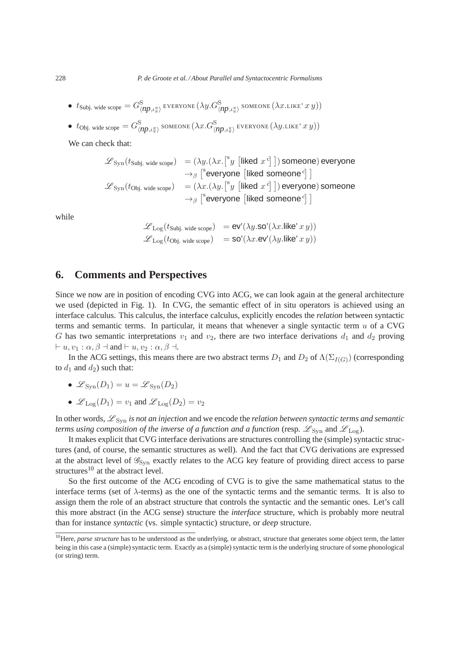$\bullet$   $t_{\rm Subj.~wide}$  wide scope  $=G_{\langle np,\iota_{\pi}^{\pi}\rangle}^{\rm S}$  everyone  $(\lambda y.G_{\langle np,\iota_{\pi}^{\pi}\rangle}^{\rm S}$  someone  $(\lambda x.$ LIKE'  $x$   $y))$ 

• 
$$
t_{\text{Obj. wide scope}} = G^{\text{S}}_{\langle np, \iota_n \pi \rangle}
$$
 somewhere  $(\lambda x. G^{\text{S}}_{\langle np, \iota_n \pi \rangle})$  everywhere  $(\lambda y$ .like'  $x y)$ )

We can check that:

$$
\mathcal{L}_{\text{Syn}}(t_{\text{Subj. wide scope}}) = (\lambda y.(\lambda x. [{}^s y \text{ [ liked } x^c ]]) \text{ someone}) \text{ everyone}
$$
\n
$$
\rightarrow_{\beta} [{}^s \text{everyone} \text{ [ liked someone } {}^c ] ]
$$
\n
$$
\mathcal{L}_{\text{Syn}}(t_{\text{Obj. wide scope}}) = (\lambda x.(\lambda y. [{}^s y \text{ [ liked } x^c ]]) \text{ everyone}) \text{ someone}
$$
\n
$$
\rightarrow_{\beta} [{}^s \text{everyone} \text{ [ liked someone } {}^c ] ]
$$

while

$$
\mathcal{L}_{\text{Log}}(t_{\text{Subj. wide scope}}) = \text{ev}'(\lambda y.\text{so}'(\lambda x.\text{like}' x y))
$$
  

$$
\mathcal{L}_{\text{Log}}(t_{\text{Obj. wide scope}}) = \text{so}'(\lambda x.\text{ev}'(\lambda y.\text{like}' x y))
$$

# **6. Comments and Perspectives**

Since we now are in position of encoding CVG into ACG, we can look again at the general architecture we used (depicted in Fig. 1). In CVG, the semantic effect of in situ operators is achieved using an interface calculus. This calculus, the interface calculus, explicitly encodes the *relation* between syntactic terms and semantic terms. In particular, it means that whenever a single syntactic term  $u$  of a CVG G has two semantic interpretations  $v_1$  and  $v_2$ , there are two interface derivations  $d_1$  and  $d_2$  proving  $\vdash u, v_1 : \alpha, \beta \dashv \text{and} \vdash u, v_2 : \alpha, \beta \dashv.$ 

In the ACG settings, this means there are two abstract terms  $D_1$  and  $D_2$  of  $\Lambda(\Sigma_{I(G)})$  (corresponding to  $d_1$  and  $d_2$ ) such that:

- $\mathscr{L}_{\text{Swn}}(D_1) = u = \mathscr{L}_{\text{Swn}}(D_2)$
- $\mathscr{L}_{\text{Log}}(D_1) = v_1$  and  $\mathscr{L}_{\text{Log}}(D_2) = v_2$

In other words,  $\mathscr{L}_{Syn}$  *is not an injection* and we encode the *relation between syntactic terms and semantic terms using composition of the inverse of a function and a function* (resp.  $\mathscr{L}_{\text{Syn}}$  and  $\mathscr{L}_{\text{Log}}$ ).

It makes explicit that CVG interface derivations are structures controlling the (simple) syntactic structures (and, of course, the semantic structures as well). And the fact that CVG derivations are expressed at the abstract level of  $\mathscr{G}_{Syn}$  exactly relates to the ACG key feature of providing direct access to parse structures<sup>10</sup> at the abstract level.

So the first outcome of the ACG encoding of CVG is to give the same mathematical status to the interface terms (set of  $\lambda$ -terms) as the one of the syntactic terms and the semantic terms. It is also to assign them the role of an abstract structure that controls the syntactic and the semantic ones. Let's call this more abstract (in the ACG sense) structure the *interface* structure, which is probably more neutral than for instance *syntactic* (vs. simple syntactic) structure, or *deep* structure.

<sup>&</sup>lt;sup>10</sup>Here, *parse structure* has to be understood as the underlying, or abstract, structure that generates some object term, the latter being in this case a (simple) syntactic term. Exactly as a (simple) syntactic term is the underlying structure of some phonological (or string) term.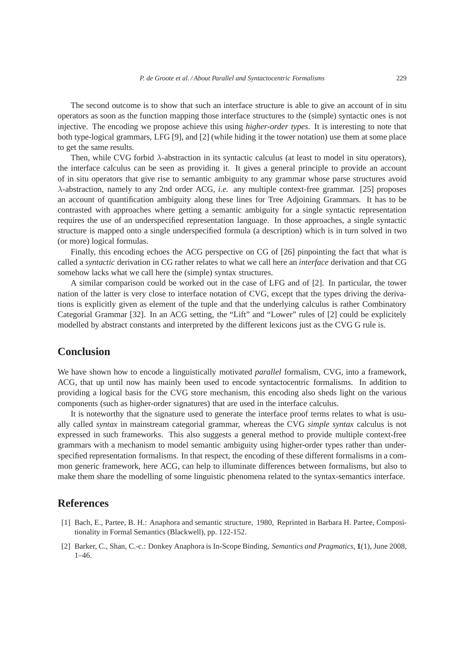The second outcome is to show that such an interface structure is able to give an account of in situ operators as soon as the function mapping those interface structures to the (simple) syntactic ones is not injective. The encoding we propose achieve this using *higher-order types*. It is interesting to note that both type-logical grammars, LFG [9], and [2] (while hiding it the tower notation) use them at some place to get the same results.

Then, while CVG forbid λ-abstraction in its syntactic calculus (at least to model in situ operators), the interface calculus can be seen as providing it. It gives a general principle to provide an account of in situ operators that give rise to semantic ambiguity to any grammar whose parse structures avoid λ-abstraction, namely to any 2nd order ACG, *i.e.* any multiple context-free grammar. [25] proposes an account of quantification ambiguity along these lines for Tree Adjoining Grammars. It has to be contrasted with approaches where getting a semantic ambiguity for a single syntactic representation requires the use of an underspecified representation language. In those approaches, a single syntactic structure is mapped onto a single underspecified formula (a description) which is in turn solved in two (or more) logical formulas.

Finally, this encoding echoes the ACG perspective on CG of [26] pinpointing the fact that what is called a *syntactic* derivation in CG rather relates to what we call here an *interface* derivation and that CG somehow lacks what we call here the (simple) syntax structures.

A similar comparison could be worked out in the case of LFG and of [2]. In particular, the tower nation of the latter is very close to interface notation of CVG, except that the types driving the derivations is explicitly given as element of the tuple and that the underlying calculus is rather Combinatory Categorial Grammar [32]. In an ACG setting, the "Lift" and "Lower" rules of [2] could be explicitely modelled by abstract constants and interpreted by the different lexicons just as the CVG G rule is.

# **Conclusion**

We have shown how to encode a linguistically motivated *parallel* formalism, CVG, into a framework, ACG, that up until now has mainly been used to encode syntactocentric formalisms. In addition to providing a logical basis for the CVG store mechanism, this encoding also sheds light on the various components (such as higher-order signatures) that are used in the interface calculus.

It is noteworthy that the signature used to generate the interface proof terms relates to what is usually called *syntax* in mainstream categorial grammar, whereas the CVG *simple syntax* calculus is not expressed in such frameworks. This also suggests a general method to provide multiple context-free grammars with a mechanism to model semantic ambiguity using higher-order types rather than underspecified representation formalisms. In that respect, the encoding of these different formalisms in a common generic framework, here ACG, can help to illuminate differences between formalisms, but also to make them share the modelling of some linguistic phenomena related to the syntax-semantics interface.

# **References**

- [1] Bach, E., Partee, B. H.: Anaphora and semantic structure, 1980, Reprinted in Barbara H. Partee, Compositionality in Formal Semantics (Blackwell), pp. 122-152.
- [2] Barker, C., Shan, C.-c.: Donkey Anaphora is In-Scope Binding, *Semantics and Pragmatics*, **1**(1), June 2008, 1–46.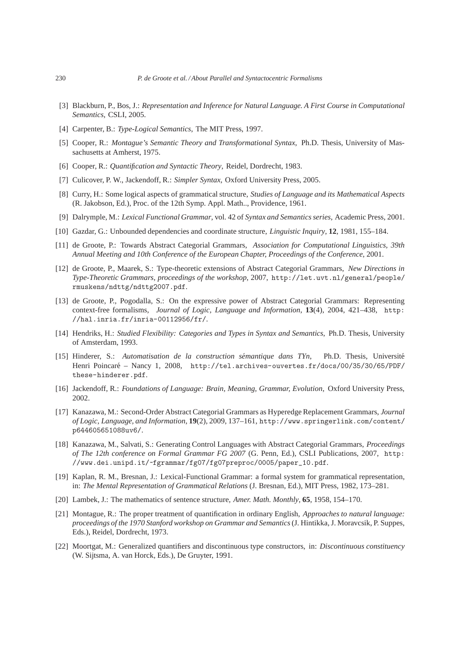- [3] Blackburn, P., Bos, J.: *Representation and Inference for Natural Language. A First Course in Computational Semantics*, CSLI, 2005.
- [4] Carpenter, B.: *Type-Logical Semantics*, The MIT Press, 1997.
- [5] Cooper, R.: *Montague's Semantic Theory and Transformational Syntax*, Ph.D. Thesis, University of Massachusetts at Amherst, 1975.
- [6] Cooper, R.: *Quantification and Syntactic Theory*, Reidel, Dordrecht, 1983.
- [7] Culicover, P. W., Jackendoff, R.: *Simpler Syntax*, Oxford University Press, 2005.
- [8] Curry, H.: Some logical aspects of grammatical structure, *Studies of Language and its Mathematical Aspects* (R. Jakobson, Ed.), Proc. of the 12th Symp. Appl. Math.., Providence, 1961.
- [9] Dalrymple, M.: *Lexical Functional Grammar*, vol. 42 of *Syntax and Semantics series*, Academic Press, 2001.
- [10] Gazdar, G.: Unbounded dependencies and coordinate structure, *Linguistic Inquiry*, **12**, 1981, 155–184.
- [11] de Groote, P.: Towards Abstract Categorial Grammars, *Association for Computational Linguistics, 39th Annual Meeting and 10th Conference of the European Chapter, Proceedings of the Conference*, 2001.
- [12] de Groote, P., Maarek, S.: Type-theoretic extensions of Abstract Categorial Grammars, *New Directions in Type-Theoretic Grammars, proceedings of the workshop*, 2007, http://let.uvt.nl/general/people/ rmuskens/ndttg/ndttg2007.pdf.
- [13] de Groote, P., Pogodalla, S.: On the expressive power of Abstract Categorial Grammars: Representing context-free formalisms, *Journal of Logic, Language and Information*, **13**(4), 2004, 421–438, http: //hal.inria.fr/inria-00112956/fr/.
- [14] Hendriks, H.: *Studied Flexibility: Categories and Types in Syntax and Semantics*, Ph.D. Thesis, University of Amsterdam, 1993.
- [15] Hinderer, S.: *Automatisation de la construction sémantique dans TYn*, Ph.D. Thesis, Université Henri Poincaré – Nancy 1, 2008, http://tel.archives-ouvertes.fr/docs/00/35/30/65/PDF/ these-hinderer.pdf.
- [16] Jackendoff, R.: *Foundations of Language: Brain, Meaning, Grammar, Evolution*, Oxford University Press, 2002.
- [17] Kanazawa, M.: Second-Order Abstract Categorial Grammars as Hyperedge Replacement Grammars, *Journal of Logic, Language, and Information*, **19**(2), 2009, 137–161, http://www.springerlink.com/content/ p644605651088uv6/.
- [18] Kanazawa, M., Salvati, S.: Generating Control Languages with Abstract Categorial Grammars, *Proceedings of The 12th conference on Formal Grammar FG 2007* (G. Penn, Ed.), CSLI Publications, 2007, http: //www.dei.unipd.it/~fgrammar/fg07/fg07preproc/0005/paper\_10.pdf.
- [19] Kaplan, R. M., Bresnan, J.: Lexical-Functional Grammar: a formal system for grammatical representation, in: *The Mental Representation of Grammatical Relations* (J. Bresnan, Ed.), MIT Press, 1982, 173–281.
- [20] Lambek, J.: The mathematics of sentence structure, *Amer. Math. Monthly*, **65**, 1958, 154–170.
- [21] Montague, R.: The proper treatment of quantification in ordinary English, *Approaches to natural language: proceedings of the 1970 Stanford workshop on Grammar and Semantics*(J. Hintikka, J. Moravcsik, P. Suppes, Eds.), Reidel, Dordrecht, 1973.
- [22] Moortgat, M.: Generalized quantifiers and discontinuous type constructors, in: *Discontinuous constituency* (W. Sijtsma, A. van Horck, Eds.), De Gruyter, 1991.